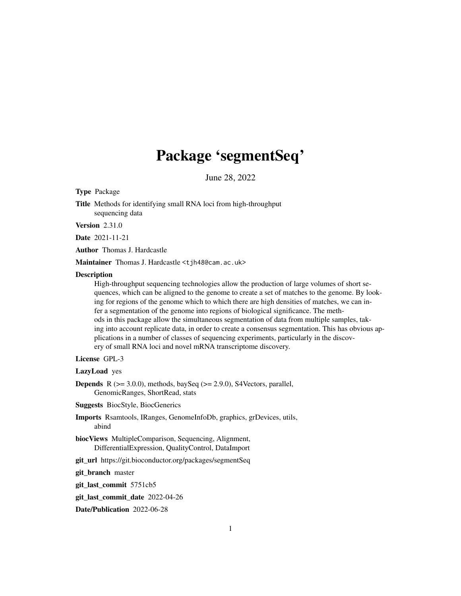## Package 'segmentSeq'

June 28, 2022

<span id="page-0-0"></span>Type Package

Title Methods for identifying small RNA loci from high-throughput sequencing data

Version 2.31.0

Date 2021-11-21

Author Thomas J. Hardcastle

Maintainer Thomas J. Hardcastle <t jh48@cam.ac.uk>

#### **Description**

High-throughput sequencing technologies allow the production of large volumes of short sequences, which can be aligned to the genome to create a set of matches to the genome. By looking for regions of the genome which to which there are high densities of matches, we can infer a segmentation of the genome into regions of biological significance. The methods in this package allow the simultaneous segmentation of data from multiple samples, taking into account replicate data, in order to create a consensus segmentation. This has obvious applications in a number of classes of sequencing experiments, particularly in the discovery of small RNA loci and novel mRNA transcriptome discovery.

#### License GPL-3

LazyLoad yes

**Depends** R  $(>= 3.0.0)$ , methods, baySeq  $(>= 2.9.0)$ , S4Vectors, parallel, GenomicRanges, ShortRead, stats

Suggests BiocStyle, BiocGenerics

Imports Rsamtools, IRanges, GenomeInfoDb, graphics, grDevices, utils, abind

biocViews MultipleComparison, Sequencing, Alignment, DifferentialExpression, QualityControl, DataImport

git\_url https://git.bioconductor.org/packages/segmentSeq

git\_branch master

git\_last\_commit 5751cb5

git\_last\_commit\_date 2022-04-26

Date/Publication 2022-06-28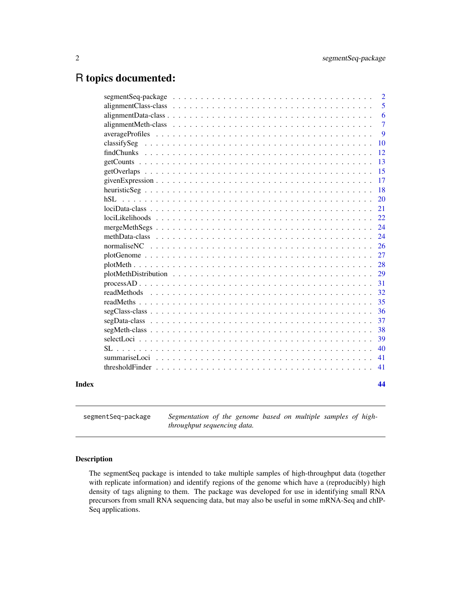## <span id="page-1-0"></span>R topics documented:

|       | segment Seq-package $\ldots \ldots \ldots \ldots \ldots \ldots \ldots \ldots \ldots \ldots \ldots \ldots \ldots$                                            | $\overline{2}$ |
|-------|-------------------------------------------------------------------------------------------------------------------------------------------------------------|----------------|
|       |                                                                                                                                                             | 5              |
|       | $alignmentData-class \dots \dots \dots \dots \dots \dots \dots \dots \dots \dots \dots \dots \dots \dots \dots$                                             | 6              |
|       |                                                                                                                                                             | $\overline{7}$ |
|       |                                                                                                                                                             | 9              |
|       |                                                                                                                                                             | 10             |
|       |                                                                                                                                                             | 12             |
|       |                                                                                                                                                             | 13             |
|       |                                                                                                                                                             | 15             |
|       |                                                                                                                                                             | 17             |
|       |                                                                                                                                                             | 18             |
|       | $h$ SL.                                                                                                                                                     | 20             |
|       |                                                                                                                                                             | 21             |
|       |                                                                                                                                                             | 22             |
|       |                                                                                                                                                             | 24             |
|       | methData-class $\ldots$ , $\ldots$ , $\ldots$ , $\ldots$ , $\ldots$ , $\ldots$ , $\ldots$ , $\ldots$ , $\ldots$ , $\ldots$ , $\ldots$ , $\ldots$ , $\ldots$ | 24             |
|       |                                                                                                                                                             | <b>26</b>      |
|       |                                                                                                                                                             | 27             |
|       |                                                                                                                                                             | 28             |
|       |                                                                                                                                                             | 29             |
|       |                                                                                                                                                             | 31             |
|       |                                                                                                                                                             | 32             |
|       |                                                                                                                                                             | 35             |
|       |                                                                                                                                                             | 36             |
|       |                                                                                                                                                             | 37             |
|       |                                                                                                                                                             | 38             |
|       |                                                                                                                                                             | 39             |
|       | SL                                                                                                                                                          | 40             |
|       |                                                                                                                                                             | 41             |
|       |                                                                                                                                                             | 41             |
|       |                                                                                                                                                             |                |
| Index |                                                                                                                                                             | 44             |
|       |                                                                                                                                                             |                |

segmentSeq-package *Segmentation of the genome based on multiple samples of highthroughput sequencing data.*

## Description

The segmentSeq package is intended to take multiple samples of high-throughput data (together with replicate information) and identify regions of the genome which have a (reproducibly) high density of tags aligning to them. The package was developed for use in identifying small RNA precursors from small RNA sequencing data, but may also be useful in some mRNA-Seq and chIP-Seq applications.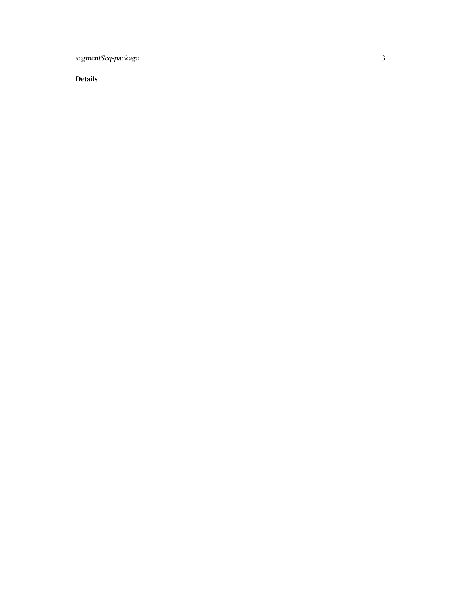segmentSeq-package

Details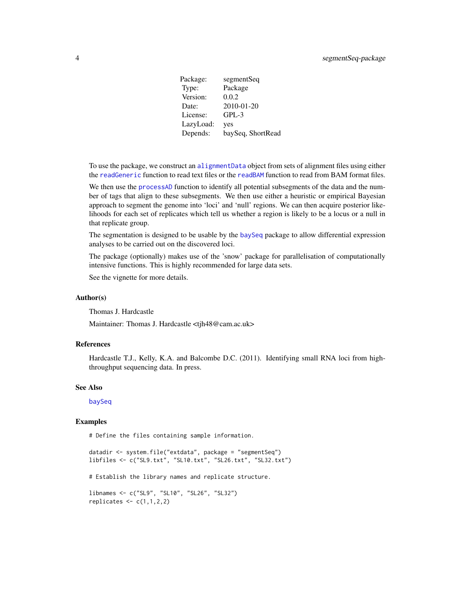<span id="page-3-0"></span>Package: segmentSeq Type: Package Version: 0.0.2 Date: 2010-01-20 License: GPL-3 LazyLoad: yes Depends: baySeq, ShortRead

To use the package, we construct an [alignmentData](#page-5-1) object from sets of alignment files using either the [readGeneric](#page-31-1) function to read text files or the [readBAM](#page-31-1) function to read from BAM format files.

We then use the [processAD](#page-30-1) function to identify all potential subsegments of the data and the number of tags that align to these subsegments. We then use either a heuristic or empirical Bayesian approach to segment the genome into 'loci' and 'null' regions. We can then acquire posterior likelihoods for each set of replicates which tell us whether a region is likely to be a locus or a null in that replicate group.

The segmentation is designed to be usable by the [baySeq](#page-0-0) package to allow differential expression analyses to be carried out on the discovered loci.

The package (optionally) makes use of the 'snow' package for parallelisation of computationally intensive functions. This is highly recommended for large data sets.

See the vignette for more details.

#### Author(s)

Thomas J. Hardcastle

Maintainer: Thomas J. Hardcastle <tjh48@cam.ac.uk>

## References

Hardcastle T.J., Kelly, K.A. and Balcombe D.C. (2011). Identifying small RNA loci from highthroughput sequencing data. In press.

#### See Also

[baySeq](#page-0-0)

#### Examples

# Define the files containing sample information.

datadir <- system.file("extdata", package = "segmentSeq") libfiles <- c("SL9.txt", "SL10.txt", "SL26.txt", "SL32.txt")

# Establish the library names and replicate structure.

```
libnames <- c("SL9", "SL10", "SL26", "SL32")
replicates \leq c(1,1,2,2)
```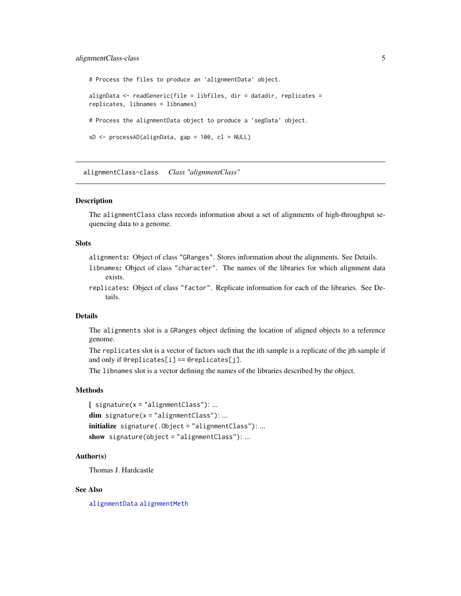## <span id="page-4-0"></span>alignmentClass-class 5

```
# Process the files to produce an 'alignmentData' object.
alignData <- readGeneric(file = libfiles, dir = datadir, replicates =
replicates, libnames = libnames)
# Process the alignmentData object to produce a 'segData' object.
sD <- processAD(alignData, gap = 100, cl = NULL)
```
alignmentClass-class *Class "alignmentClass"*

#### <span id="page-4-1"></span>**Description**

The alignmentClass class records information about a set of alignments of high-throughput sequencing data to a genome.

#### **Slots**

alignments: Object of class "GRanges". Stores information about the alignments. See Details.

- libnames: Object of class "character". The names of the libraries for which alignment data exists.
- replicates: Object of class "factor". Replicate information for each of the libraries. See Details.

## Details

The alignments slot is a GRanges object defining the location of aligned objects to a reference genome.

The replicates slot is a vector of factors such that the ith sample is a replicate of the jth sample if and only if @replicates[i] == @replicates[j].

The libnames slot is a vector defining the names of the libraries described by the object.

## Methods

 $[$  signature(x = "alignmentClass"): ...  $dim$  signature(x = "alignmentClass"): ... initialize signature(.Object = "alignmentClass"): ... show signature(object = "alignmentClass"): ...

#### Author(s)

Thomas J. Hardcastle

## See Also

[alignmentData](#page-5-1) [alignmentMeth](#page-6-1)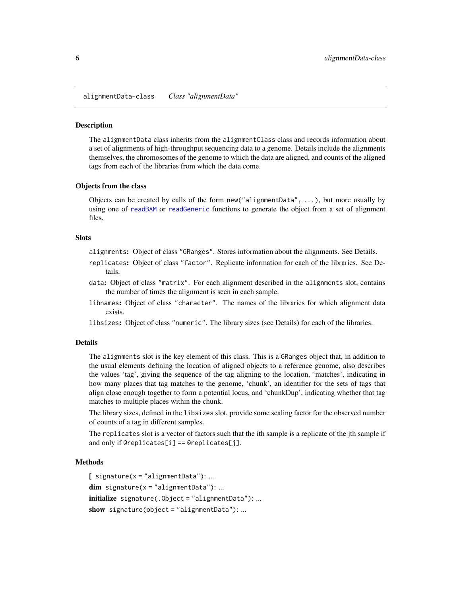<span id="page-5-2"></span><span id="page-5-0"></span>alignmentData-class *Class "alignmentData"*

#### <span id="page-5-1"></span>**Description**

The alignmentData class inherits from the alignmentClass class and records information about a set of alignments of high-throughput sequencing data to a genome. Details include the alignments themselves, the chromosomes of the genome to which the data are aligned, and counts of the aligned tags from each of the libraries from which the data come.

#### Objects from the class

Objects can be created by calls of the form new ("alignmentData",  $\ldots$ ), but more usually by using one of [readBAM](#page-31-1) or [readGeneric](#page-31-1) functions to generate the object from a set of alignment files.

#### **Slots**

- alignments: Object of class "GRanges". Stores information about the alignments. See Details.
- replicates: Object of class "factor". Replicate information for each of the libraries. See Details.
- data: Object of class "matrix". For each alignment described in the alignments slot, contains the number of times the alignment is seen in each sample.
- libnames: Object of class "character". The names of the libraries for which alignment data exists.
- libsizes: Object of class "numeric". The library sizes (see Details) for each of the libraries.

#### Details

The alignments slot is the key element of this class. This is a GRanges object that, in addition to the usual elements defining the location of aligned objects to a reference genome, also describes the values 'tag', giving the sequence of the tag aligning to the location, 'matches', indicating in how many places that tag matches to the genome, 'chunk', an identifier for the sets of tags that align close enough together to form a potential locus, and 'chunkDup', indicating whether that tag matches to multiple places within the chunk.

The library sizes, defined in the libsizes slot, provide some scaling factor for the observed number of counts of a tag in different samples.

The replicates slot is a vector of factors such that the ith sample is a replicate of the jth sample if and only if @replicates[i] == @replicates[j].

#### Methods

```
[ signature(x = "alignmentData"): ...
dim signature(x = "alignmentData"): ...
initialize signature(.Object = "alignmentData"): ...
show signature(object = "alignmentData"): ...
```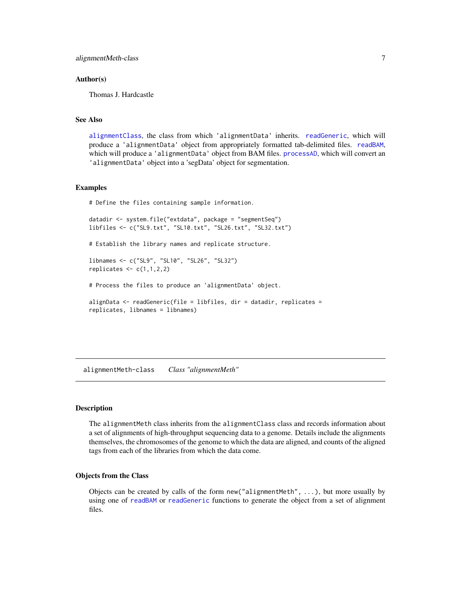#### <span id="page-6-0"></span>Author(s)

Thomas J. Hardcastle

#### See Also

[alignmentClass](#page-4-1), the class from which 'alignmentData' inherits. [readGeneric](#page-31-1), which will produce a 'alignmentData' object from appropriately formatted tab-delimited files. [readBAM](#page-31-1), which will produce a 'alignmentData' object from BAM files. [processAD](#page-30-1), which will convert an 'alignmentData' object into a 'segData' object for segmentation.

#### Examples

# Define the files containing sample information.

datadir <- system.file("extdata", package = "segmentSeq") libfiles <- c("SL9.txt", "SL10.txt", "SL26.txt", "SL32.txt")

# Establish the library names and replicate structure.

libnames <- c("SL9", "SL10", "SL26", "SL32") replicates  $\leq c(1,1,2,2)$ 

# Process the files to produce an 'alignmentData' object.

alignData <- readGeneric(file = libfiles, dir = datadir, replicates = replicates, libnames = libnames)

<span id="page-6-2"></span>alignmentMeth-class *Class "alignmentMeth"*

#### <span id="page-6-1"></span>Description

The alignmentMeth class inherits from the alignmentClass class and records information about a set of alignments of high-throughput sequencing data to a genome. Details include the alignments themselves, the chromosomes of the genome to which the data are aligned, and counts of the aligned tags from each of the libraries from which the data come.

#### Objects from the Class

Objects can be created by calls of the form new ("alignmentMeth", ...), but more usually by using one of [readBAM](#page-31-1) or [readGeneric](#page-31-1) functions to generate the object from a set of alignment files.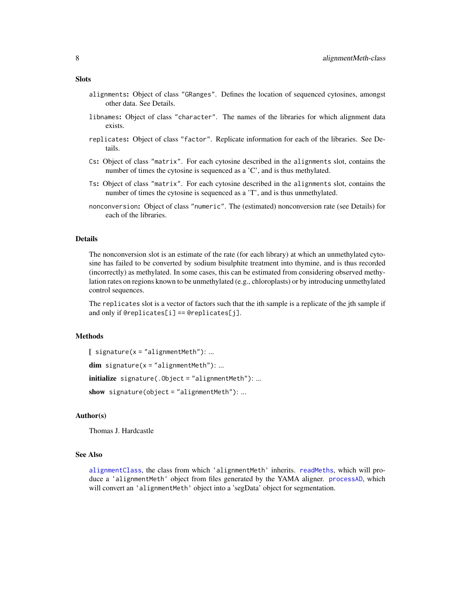- alignments: Object of class "GRanges". Defines the location of sequenced cytosines, amongst other data. See Details.
- libnames: Object of class "character". The names of the libraries for which alignment data exists.
- replicates: Object of class "factor". Replicate information for each of the libraries. See Details.
- Cs: Object of class "matrix". For each cytosine described in the alignments slot, contains the number of times the cytosine is sequenced as a 'C', and is thus methylated.
- Ts: Object of class "matrix". For each cytosine described in the alignments slot, contains the number of times the cytosine is sequenced as a 'T', and is thus unmethylated.
- nonconversion: Object of class "numeric". The (estimated) nonconversion rate (see Details) for each of the libraries.

#### Details

The nonconversion slot is an estimate of the rate (for each library) at which an unmethylated cytosine has failed to be converted by sodium bisulphite treatment into thymine, and is thus recorded (incorrectly) as methylated. In some cases, this can be estimated from considering observed methylation rates on regions known to be unmethylated (e.g., chloroplasts) or by introducing unmethylated control sequences.

The replicates slot is a vector of factors such that the ith sample is a replicate of the jth sample if and only if @replicates[i] == @replicates[j].

## Methods

```
[ signature(x = "alignmentMeth"): ...
dim signature(x = "alignmentMeth"): ...
initialize signature(.Object = "alignmentMeth"): ...
```
show signature(object = "alignmentMeth"): ...

#### Author(s)

Thomas J. Hardcastle

#### See Also

[alignmentClass](#page-4-1), the class from which 'alignmentMeth' inherits. [readMeths](#page-34-1), which will produce a 'alignmentMeth' object from files generated by the YAMA aligner. [processAD](#page-30-1), which will convert an 'alignmentMeth' object into a 'segData' object for segmentation.

#### <span id="page-7-0"></span>**Slots**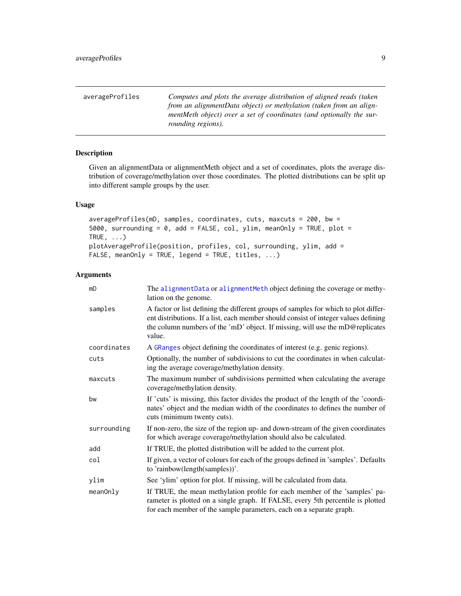<span id="page-8-0"></span>

| averageProfiles | Computes and plots the average distribution of aligned reads (taken |
|-----------------|---------------------------------------------------------------------|
|                 | from an alignmentData object) or methylation (taken from an align-  |
|                 | mentMeth object) over a set of coordinates (and optionally the sur- |
|                 | rounding regions).                                                  |

## Description

Given an alignmentData or alignmentMeth object and a set of coordinates, plots the average distribution of coverage/methylation over those coordinates. The plotted distributions can be split up into different sample groups by the user.

#### Usage

```
averageProfiles(mD, samples, coordinates, cuts, maxcuts = 200, bw =
5000, surrounding = 0, add = FALSE, col, ylim, meanOnly = TRUE, plot =
TRUE, \ldots)
plotAverageProfile(position, profiles, col, surrounding, ylim, add =
FALSE, meanOnly = TRUE, legend = TRUE, titles, ...)
```
## Arguments

| mD          | The alignmentData or alignmentMeth object defining the coverage or methy-<br>lation on the genome.                                                                                                                                                                    |
|-------------|-----------------------------------------------------------------------------------------------------------------------------------------------------------------------------------------------------------------------------------------------------------------------|
| samples     | A factor or list defining the different groups of samples for which to plot differ-<br>ent distributions. If a list, each member should consist of integer values defining<br>the column numbers of the 'mD' object. If missing, will use the mD@replicates<br>value. |
| coordinates | A GRanges object defining the coordinates of interest (e.g. genic regions).                                                                                                                                                                                           |
| cuts        | Optionally, the number of subdivisions to cut the coordinates in when calculat-<br>ing the average coverage/methylation density.                                                                                                                                      |
| maxcuts     | The maximum number of subdivisions permitted when calculating the average<br>coverage/methylation density.                                                                                                                                                            |
| bw          | If 'cuts' is missing, this factor divides the product of the length of the 'coordi-<br>nates' object and the median width of the coordinates to defines the number of<br>cuts (minimum twenty cuts).                                                                  |
| surrounding | If non-zero, the size of the region up- and down-stream of the given coordinates<br>for which average coverage/methylation should also be calculated.                                                                                                                 |
| add         | If TRUE, the plotted distribution will be added to the current plot.                                                                                                                                                                                                  |
| col         | If given, a vector of colours for each of the groups defined in 'samples'. Defaults<br>to 'rainbow(length(samples))'.                                                                                                                                                 |
| ylim        | See 'ylim' option for plot. If missing, will be calculated from data.                                                                                                                                                                                                 |
| meanOnly    | If TRUE, the mean methylation profile for each member of the 'samples' pa-<br>rameter is plotted on a single graph. If FALSE, every 5th percentile is plotted<br>for each member of the sample parameters, each on a separate graph.                                  |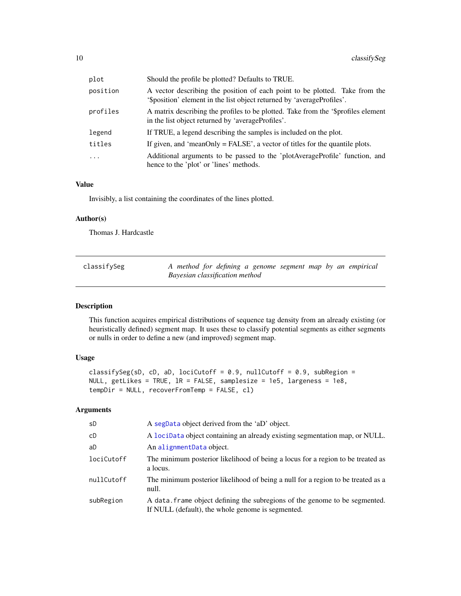<span id="page-9-0"></span>

| plot      | Should the profile be plotted? Defaults to TRUE.                                                                                                      |
|-----------|-------------------------------------------------------------------------------------------------------------------------------------------------------|
| position  | A vector describing the position of each point to be plotted. Take from the<br>'\$position' element in the list object returned by 'averageProfiles'. |
| profiles  | A matrix describing the profiles to be plotted. Take from the '\$profiles element<br>in the list object returned by 'averageProfiles'.                |
| legend    | If TRUE, a legend describing the samples is included on the plot.                                                                                     |
| titles    | If given, and 'meanOnly $=$ FALSE', a vector of titles for the quantile plots.                                                                        |
| $\ddotsc$ | Additional arguments to be passed to the 'plotAverageProfile' function, and<br>hence to the 'plot' or 'lines' methods.                                |

#### Value

Invisibly, a list containing the coordinates of the lines plotted.

#### Author(s)

Thomas J. Hardcastle

<span id="page-9-1"></span>

| classifySeg | A method for defining a genome segment map by an empirical |
|-------------|------------------------------------------------------------|
|             | Bayesian classification method                             |

## Description

This function acquires empirical distributions of sequence tag density from an already existing (or heuristically defined) segment map. It uses these to classify potential segments as either segments or nulls in order to define a new (and improved) segment map.

## Usage

```
classifySeg(sD, cD, aD, lociCutoff = 0.9, nullCutoff = 0.9, subRegion =
NULL, getLikes = TRUE, lR = FALSE, samplesize = 1e5, largeness = 1e8,
tempDir = NULL, recoverFromTemp = FALSE, cl)
```
## Arguments

| sD         | A segData object derived from the 'aD' object.                                                                                   |
|------------|----------------------------------------------------------------------------------------------------------------------------------|
| сD         | A lociData object containing an already existing segmentation map, or NULL.                                                      |
| aD         | An alignmentData object.                                                                                                         |
| lociCutoff | The minimum posterior likelihood of being a locus for a region to be treated as<br>a locus.                                      |
| nullCutoff | The minimum posterior likelihood of being a null for a region to be treated as a<br>null.                                        |
| subRegion  | A data. frame object defining the subregions of the genome to be segmented.<br>If NULL (default), the whole genome is segmented. |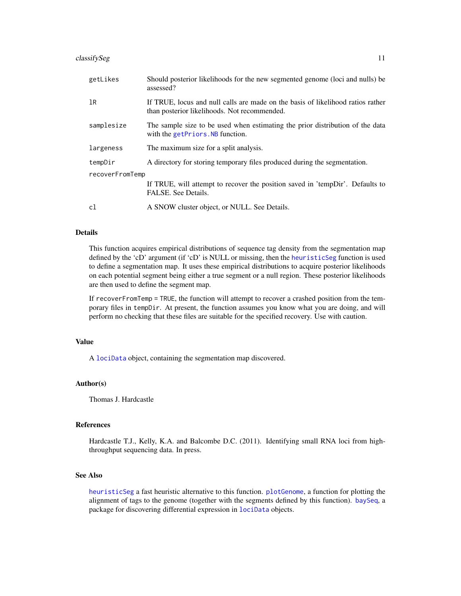#### <span id="page-10-0"></span>classifySeg 11

| getLikes        | Should posterior likelihoods for the new segmented genome (loci and nulls) be<br>assessed?                                      |  |
|-----------------|---------------------------------------------------------------------------------------------------------------------------------|--|
| 1R              | If TRUE, locus and null calls are made on the basis of likelihood ratios rather<br>than posterior likelihoods. Not recommended. |  |
| samplesize      | The sample size to be used when estimating the prior distribution of the data<br>with the getPriors. NB function.               |  |
| largeness       | The maximum size for a split analysis.                                                                                          |  |
| tempDir         | A directory for storing temporary files produced during the segmentation.                                                       |  |
| recoverFromTemp |                                                                                                                                 |  |
|                 | If TRUE, will attempt to recover the position saved in 'tempDir'. Defaults to<br>FALSE. See Details.                            |  |
| c1              | A SNOW cluster object, or NULL. See Details.                                                                                    |  |

#### Details

This function acquires empirical distributions of sequence tag density from the segmentation map defined by the 'cD' argument (if 'cD' is NULL or missing, then the [heuristicSeg](#page-17-1) function is used to define a segmentation map. It uses these empirical distributions to acquire posterior likelihoods on each potential segment being either a true segment or a null region. These posterior likelihoods are then used to define the segment map.

If recoverFromTemp = TRUE, the function will attempt to recover a crashed position from the temporary files in tempDir. At present, the function assumes you know what you are doing, and will perform no checking that these files are suitable for the specified recovery. Use with caution.

#### Value

A [lociData](#page-20-1) object, containing the segmentation map discovered.

#### Author(s)

Thomas J. Hardcastle

#### References

Hardcastle T.J., Kelly, K.A. and Balcombe D.C. (2011). Identifying small RNA loci from highthroughput sequencing data. In press.

## See Also

[heuristicSeg](#page-17-1) a fast heuristic alternative to this function. [plotGenome](#page-26-1), a function for plotting the alignment of tags to the genome (together with the segments defined by this function). [baySeq](#page-0-0), a package for discovering differential expression in [lociData](#page-20-1) objects.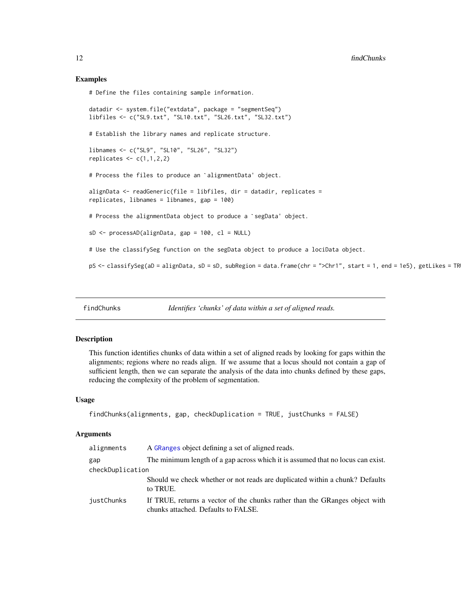#### Examples

# Define the files containing sample information.

```
datadir <- system.file("extdata", package = "segmentSeq")
libfiles <- c("SL9.txt", "SL10.txt", "SL26.txt", "SL32.txt")
# Establish the library names and replicate structure.
libnames <- c("SL9", "SL10", "SL26", "SL32")
replicates \leq c(1,1,2,2)# Process the files to produce an `alignmentData' object.
alignData <- readGeneric(file = libfiles, dir = datadir, replicates =
# Process the alignmentData object to produce a `segData' object.
replicates, libnames = libnames, gap = 100)
sD <- processAD(alignData, gap = 100, cl = NULL)
# Use the classifySeg function on the segData object to produce a lociData object.
pS <- classifySeg(aD = alignData, sD = sD, subRegion = data.frame(chr = ">Chr1", start = 1, end = 1e5), getLikes = TR
```
findChunks *Identifies 'chunks' of data within a set of aligned reads.*

## Description

This function identifies chunks of data within a set of aligned reads by looking for gaps within the alignments; regions where no reads align. If we assume that a locus should not contain a gap of sufficient length, then we can separate the analysis of the data into chunks defined by these gaps, reducing the complexity of the problem of segmentation.

#### Usage

```
findChunks(alignments, gap, checkDuplication = TRUE, justChunks = FALSE)
```
## Arguments

| alignments       | A GRanges object defining a set of aligned reads.                                                                  |
|------------------|--------------------------------------------------------------------------------------------------------------------|
| gap              | The minimum length of a gap across which it is assumed that no locus can exist.                                    |
| checkDuplication |                                                                                                                    |
|                  | Should we check whether or not reads are duplicated within a chunk? Defaults<br>to TRUE.                           |
| justChunks       | If TRUE, returns a vector of the chunks rather than the GRanges object with<br>chunks attached. Defaults to FALSE. |

<span id="page-11-0"></span>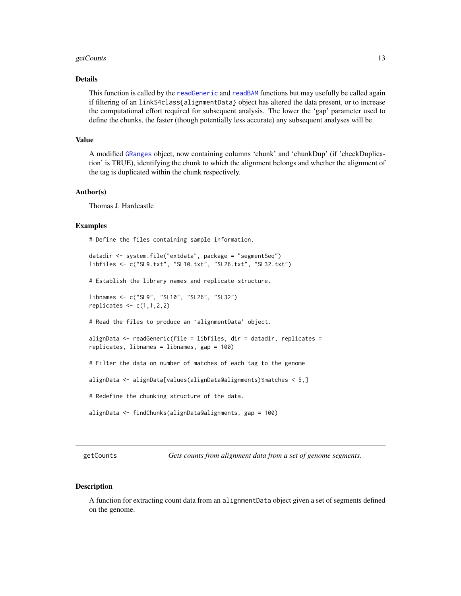#### <span id="page-12-0"></span>getCounts and the set of the set of the set of the set of the set of the set of the set of the set of the set of the set of the set of the set of the set of the set of the set of the set of the set of the set of the set of

#### Details

This function is called by the [readGeneric](#page-31-1) and [readBAM](#page-31-1) functions but may usefully be called again if filtering of an linkS4class{alignmentData} object has altered the data present, or to increase the computational effort required for subsequent analysis. The lower the 'gap' parameter used to define the chunks, the faster (though potentially less accurate) any subsequent analyses will be.

#### Value

A modified [GRanges](#page-0-0) object, now containing columns 'chunk' and 'chunkDup' (if 'checkDuplication' is TRUE), identifying the chunk to which the alignment belongs and whether the alignment of the tag is duplicated within the chunk respectively.

#### Author(s)

Thomas J. Hardcastle

#### Examples

# Define the files containing sample information.

```
datadir <- system.file("extdata", package = "segmentSeq")
libfiles <- c("SL9.txt", "SL10.txt", "SL26.txt", "SL32.txt")
```
# Establish the library names and replicate structure.

```
libnames <- c("SL9", "SL10", "SL26", "SL32")
replicates \leq c(1,1,2,2)
```
# Read the files to produce an `alignmentData' object.

```
alignData <- readGeneric(file = libfiles, dir = datadir, replicates =
replicates, libnames = libnames, gap = 100)
```
# Filter the data on number of matches of each tag to the genome

alignData <- alignData[values(alignData@alignments)\$matches < 5,]

```
# Redefine the chunking structure of the data.
```

```
alignData <- findChunks(alignData@alignments, gap = 100)
```
<span id="page-12-1"></span>getCounts *Gets counts from alignment data from a set of genome segments.*

#### **Description**

A function for extracting count data from an alignmentData object given a set of segments defined on the genome.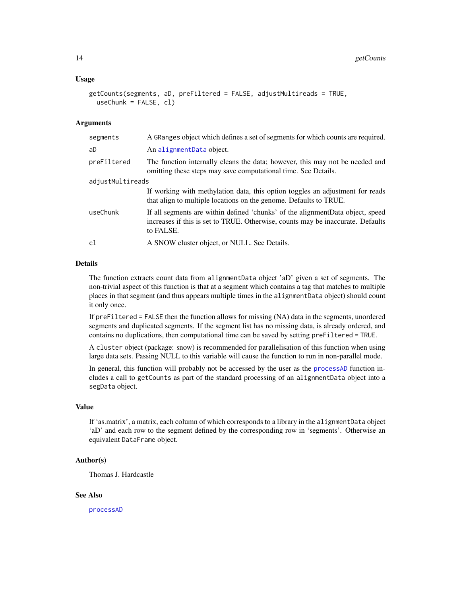#### <span id="page-13-0"></span>Usage

```
getCounts(segments, aD, preFiltered = FALSE, adjustMultireads = TRUE,
  useChunk = FALSE, cl)
```
#### **Arguments**

| segments         | A GRanges object which defines a set of segments for which counts are required.                                                                                                 |  |
|------------------|---------------------------------------------------------------------------------------------------------------------------------------------------------------------------------|--|
| aD               | An alignmentData object.                                                                                                                                                        |  |
| preFiltered      | The function internally cleans the data; however, this may not be needed and<br>omitting these steps may save computational time. See Details.                                  |  |
| adjustMultireads |                                                                                                                                                                                 |  |
|                  | If working with methylation data, this option toggles an adjustment for reads<br>that align to multiple locations on the genome. Defaults to TRUE.                              |  |
| useChunk         | If all segments are within defined 'chunks' of the alignment Data object, speed<br>increases if this is set to TRUE. Otherwise, counts may be inaccurate. Defaults<br>to FALSE. |  |
| cl               | A SNOW cluster object, or NULL. See Details.                                                                                                                                    |  |

#### Details

The function extracts count data from alignmentData object 'aD' given a set of segments. The non-trivial aspect of this function is that at a segment which contains a tag that matches to multiple places in that segment (and thus appears multiple times in the alignmentData object) should count it only once.

If preFiltered = FALSE then the function allows for missing (NA) data in the segments, unordered segments and duplicated segments. If the segment list has no missing data, is already ordered, and contains no duplications, then computational time can be saved by setting preFiltered = TRUE.

A cluster object (package: snow) is recommended for parallelisation of this function when using large data sets. Passing NULL to this variable will cause the function to run in non-parallel mode.

In general, this function will probably not be accessed by the user as the [processAD](#page-30-1) function includes a call to getCounts as part of the standard processing of an alignmentData object into a segData object.

#### Value

If 'as.matrix', a matrix, each column of which corresponds to a library in the alignmentData object 'aD' and each row to the segment defined by the corresponding row in 'segments'. Otherwise an equivalent DataFrame object.

## Author(s)

Thomas J. Hardcastle

## See Also

[processAD](#page-30-1)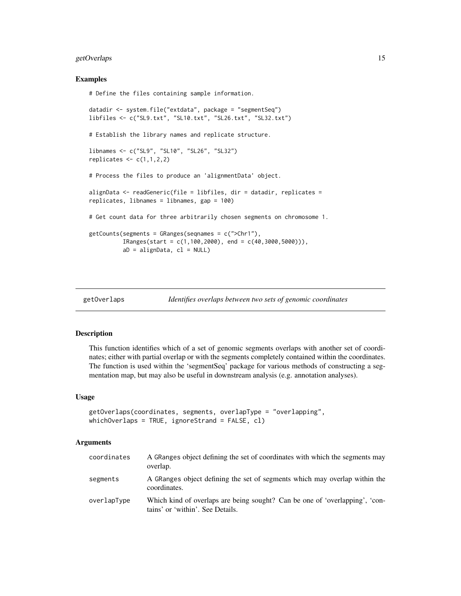## <span id="page-14-0"></span>getOverlaps 15

#### Examples

# Define the files containing sample information.

```
datadir <- system.file("extdata", package = "segmentSeq")
libfiles <- c("SL9.txt", "SL10.txt", "SL26.txt", "SL32.txt")
# Establish the library names and replicate structure.
libnames <- c("SL9", "SL10", "SL26", "SL32")
replicates \leq c(1,1,2,2)# Process the files to produce an 'alignmentData' object.
alignData <- readGeneric(file = libfiles, dir = datadir, replicates =
replicates, libnames = libnames, gap = 100)
# Get count data for three arbitrarily chosen segments on chromosome 1.
getCounts(segments = GRanges(seqnames = c(">Chr1"),
          IRanges(start = c(1,100,2000), end = c(40,3000,5000))),aD = \text{alignData}, c1 = \text{NULL}
```
getOverlaps *Identifies overlaps between two sets of genomic coordinates*

### Description

This function identifies which of a set of genomic segments overlaps with another set of coordinates; either with partial overlap or with the segments completely contained within the coordinates. The function is used within the 'segmentSeq' package for various methods of constructing a segmentation map, but may also be useful in downstream analysis (e.g. annotation analyses).

#### Usage

```
getOverlaps(coordinates, segments, overlapType = "overlapping",
whichOverlaps = TRUE, ignoreStrand = FALSE, cl)
```
#### Arguments

| coordinates | A GRanges object defining the set of coordinates with which the segments may<br>overlap.                        |
|-------------|-----------------------------------------------------------------------------------------------------------------|
| segments    | A GRanges object defining the set of segments which may overlap within the<br>coordinates.                      |
| overlapType | Which kind of overlaps are being sought? Can be one of 'overlapping', 'con-<br>tains' or 'within'. See Details. |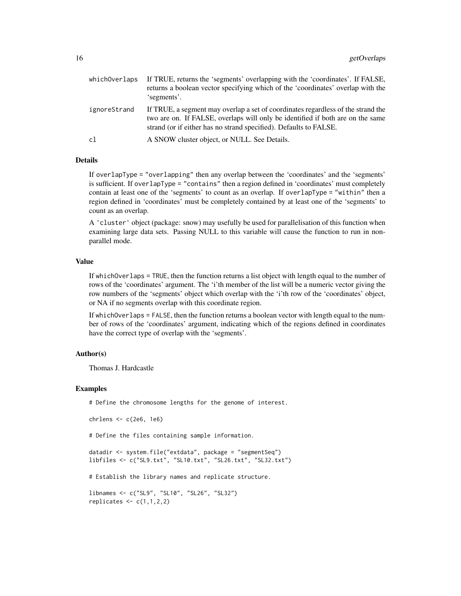| whichOverlaps | If TRUE, returns the 'segments' overlapping with the 'coordinates'. If FALSE,<br>returns a boolean vector specifying which of the 'coordinates' overlap with the<br>'segments'.                                                         |
|---------------|-----------------------------------------------------------------------------------------------------------------------------------------------------------------------------------------------------------------------------------------|
| ignoreStrand  | If TRUE, a segment may overlap a set of coordinates regardless of the strand the<br>two are on. If FALSE, overlaps will only be identified if both are on the same<br>strand (or if either has no strand specified). Defaults to FALSE. |
| c1            | A SNOW cluster object, or NULL. See Details.                                                                                                                                                                                            |

#### Details

If overlapType = "overlapping" then any overlap between the 'coordinates' and the 'segments' is sufficient. If overlapType = "contains" then a region defined in 'coordinates' must completely contain at least one of the 'segments' to count as an overlap. If overlapType = "within" then a region defined in 'coordinates' must be completely contained by at least one of the 'segments' to count as an overlap.

A 'cluster' object (package: snow) may usefully be used for parallelisation of this function when examining large data sets. Passing NULL to this variable will cause the function to run in nonparallel mode.

#### Value

If whichOverlaps = TRUE, then the function returns a list object with length equal to the number of rows of the 'coordinates' argument. The 'i'th member of the list will be a numeric vector giving the row numbers of the 'segments' object which overlap with the 'i'th row of the 'coordinates' object, or NA if no segments overlap with this coordinate region.

If whichOverlaps = FALSE, then the function returns a boolean vector with length equal to the number of rows of the 'coordinates' argument, indicating which of the regions defined in coordinates have the correct type of overlap with the 'segments'.

#### Author(s)

Thomas J. Hardcastle

#### Examples

# Define the chromosome lengths for the genome of interest.

```
chrlens <- c(2e6, 1e6)
```
# Define the files containing sample information.

datadir <- system.file("extdata", package = "segmentSeq") libfiles <- c("SL9.txt", "SL10.txt", "SL26.txt", "SL32.txt")

# Establish the library names and replicate structure.

```
libnames <- c("SL9", "SL10", "SL26", "SL32")
replicates \leq c(1,1,2,2)
```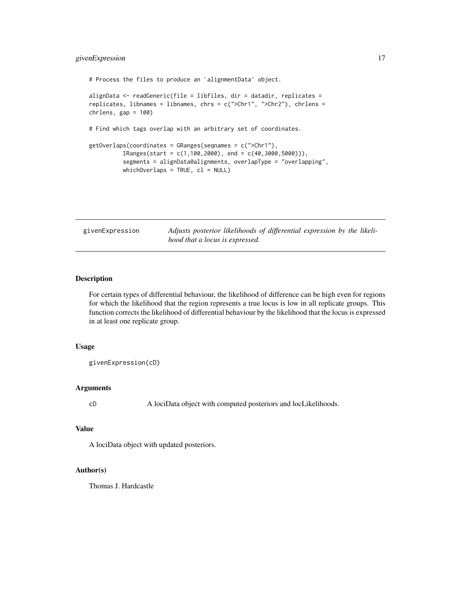## <span id="page-16-0"></span>givenExpression 17

```
# Process the files to produce an `alignmentData' object.
alignData <- readGeneric(file = libfiles, dir = datadir, replicates =
replicates, libnames = libnames, chrs = c(">Chr1", ">Chr2"), chrlens =
chrlens, gap = 100)
# Find which tags overlap with an arbitrary set of coordinates.
getOverlaps(coordinates = GRanges(seqnames = c(">Chr1"),
          IRanges(start = c(1, 100, 2000), end = c(40, 3000, 5000)),
          segments = alignData@alignments, overlapType = "overlapping",
          whichOverlaps = TRUE, cl = NULL)
```
givenExpression *Adjusts posterior likelihoods of differential expression by the likelihood that a locus is expressed.*

## Description

For certain types of differential behaviour, the likelihood of difference can be high even for regions for which the likelihood that the region represents a true locus is low in all replicate groups. This function corrects the likelihood of differential behaviour by the likelihood that the locus is expressed in at least one replicate group.

#### Usage

givenExpression(cD)

#### Arguments

cD A lociData object with computed posteriors and locLikelihoods.

#### Value

A lociData object with updated posteriors.

#### Author(s)

Thomas J. Hardcastle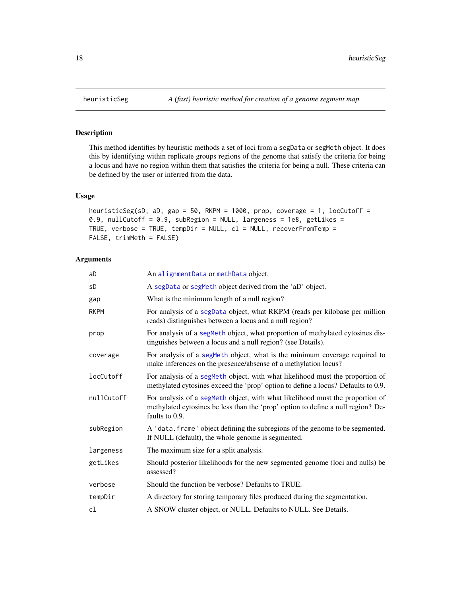## Description

This method identifies by heuristic methods a set of loci from a segData or segMeth object. It does this by identifying within replicate groups regions of the genome that satisfy the criteria for being a locus and have no region within them that satisfies the criteria for being a null. These criteria can be defined by the user or inferred from the data.

## Usage

```
heuristicSeg(sD, aD, gap = 50, RKPM = 1000, prop, coverage = 1, locCutoff =
0.9, nullCutoff = 0.9, subRegion = NULL, largeness = 1e8, getLikes =
TRUE, verbose = TRUE, tempDir = NULL, cl = NULL, recoverFromTemp =
FALSE, trimMeth = FALSE)
```
## Arguments

| aD         | An alignmentData or methData object.                                                                                                                                                |
|------------|-------------------------------------------------------------------------------------------------------------------------------------------------------------------------------------|
| sD         | A segData or segMeth object derived from the 'aD' object.                                                                                                                           |
| gap        | What is the minimum length of a null region?                                                                                                                                        |
| RKPM       | For analysis of a segData object, what RKPM (reads per kilobase per million<br>reads) distinguishes between a locus and a null region?                                              |
| prop       | For analysis of a segMeth object, what proportion of methylated cytosines dis-<br>tinguishes between a locus and a null region? (see Details).                                      |
| coverage   | For analysis of a segMeth object, what is the minimum coverage required to<br>make inferences on the presence/absense of a methylation locus?                                       |
| locCutoff  | For analysis of a segMeth object, with what likelihood must the proportion of<br>methylated cytosines exceed the 'prop' option to define a locus? Defaults to 0.9.                  |
| nullCutoff | For analysis of a segMeth object, with what likelihood must the proportion of<br>methylated cytosines be less than the 'prop' option to define a null region? De-<br>faults to 0.9. |
| subRegion  | A 'data. frame' object defining the subregions of the genome to be segmented.<br>If NULL (default), the whole genome is segmented.                                                  |
| largeness  | The maximum size for a split analysis.                                                                                                                                              |
| getLikes   | Should posterior likelihoods for the new segmented genome (loci and nulls) be<br>assessed?                                                                                          |
| verbose    | Should the function be verbose? Defaults to TRUE.                                                                                                                                   |
| tempDir    | A directory for storing temporary files produced during the segmentation.                                                                                                           |
| cl         | A SNOW cluster object, or NULL. Defaults to NULL. See Details.                                                                                                                      |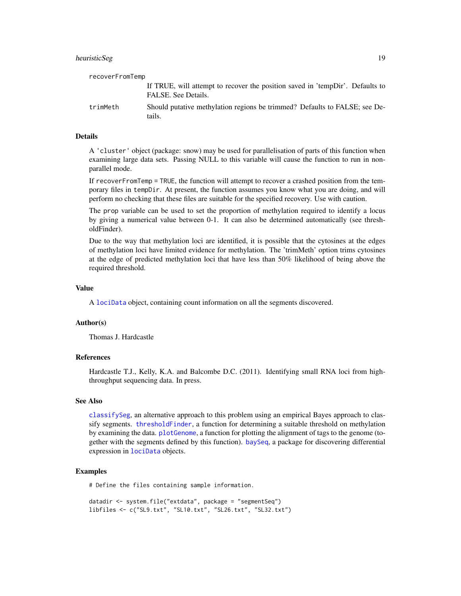## <span id="page-18-0"></span>heuristicSeg 19

| recoverFromTemp |                                                                                                      |
|-----------------|------------------------------------------------------------------------------------------------------|
|                 | If TRUE, will attempt to recover the position saved in 'tempDir'. Defaults to<br>FALSE. See Details. |
| trimMeth        | Should putative methylation regions be trimmed? Defaults to FALSE; see De-<br>tails.                 |

## Details

A 'cluster' object (package: snow) may be used for parallelisation of parts of this function when examining large data sets. Passing NULL to this variable will cause the function to run in nonparallel mode.

If recoverFromTemp = TRUE, the function will attempt to recover a crashed position from the temporary files in tempDir. At present, the function assumes you know what you are doing, and will perform no checking that these files are suitable for the specified recovery. Use with caution.

The prop variable can be used to set the proportion of methylation required to identify a locus by giving a numerical value between 0-1. It can also be determined automatically (see thresholdFinder).

Due to the way that methylation loci are identified, it is possible that the cytosines at the edges of methylation loci have limited evidence for methylation. The 'trimMeth' option trims cytosines at the edge of predicted methylation loci that have less than 50% likelihood of being above the required threshold.

#### Value

A [lociData](#page-20-1) object, containing count information on all the segments discovered.

#### Author(s)

Thomas J. Hardcastle

#### References

Hardcastle T.J., Kelly, K.A. and Balcombe D.C. (2011). Identifying small RNA loci from highthroughput sequencing data. In press.

## See Also

[classifySeg](#page-9-1), an alternative approach to this problem using an empirical Bayes approach to classify segments. [thresholdFinder](#page-40-1), a function for determining a suitable threshold on methylation by examining the data. [plotGenome](#page-26-1), a function for plotting the alignment of tags to the genome (together with the segments defined by this function). [baySeq](#page-0-0), a package for discovering differential expression in [lociData](#page-20-1) objects.

#### Examples

# Define the files containing sample information.

```
datadir <- system.file("extdata", package = "segmentSeq")
libfiles <- c("SL9.txt", "SL10.txt", "SL26.txt", "SL32.txt")
```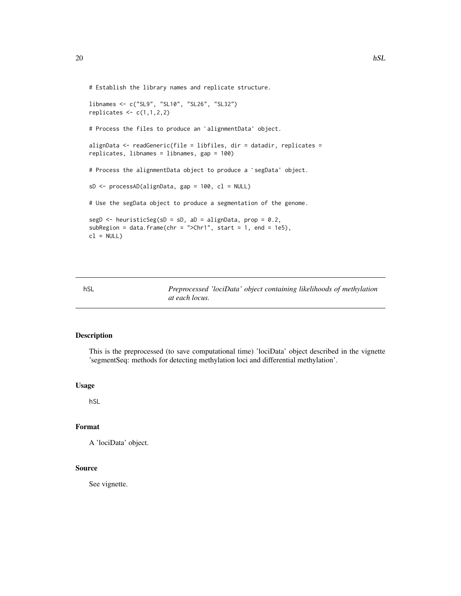```
# Establish the library names and replicate structure.
libnames <- c("SL9", "SL10", "SL26", "SL32")
replicates \leq c(1,1,2,2)# Process the files to produce an `alignmentData' object.
alignData <- readGeneric(file = libfiles, dir = datadir, replicates =
replicates, libnames = libnames, gap = 100)
# Process the alignmentData object to produce a `segData' object.
sD <- processAD(alignData, gap = 100, cl = NULL)
# Use the segData object to produce a segmentation of the genome.
segD <- heuristicSeg(sD = sD, aD = alignData, prop = 0.2,
subRegion = data.frame(chr = ">Chr1", start = 1, end = 1e5),
cl = NULL)
```
hSL *Preprocessed 'lociData' object containing likelihoods of methylation at each locus.*

## Description

This is the preprocessed (to save computational time) 'lociData' object described in the vignette 'segmentSeq: methods for detecting methylation loci and differential methylation'.

#### Usage

hSL

## Format

A 'lociData' object.

#### Source

See vignette.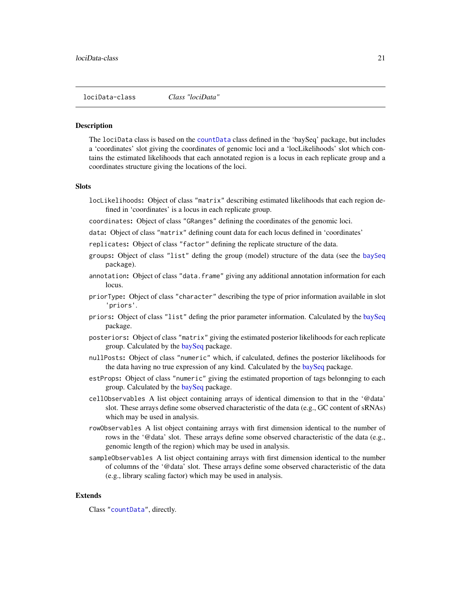<span id="page-20-2"></span><span id="page-20-0"></span>lociData-class *Class "lociData"*

#### <span id="page-20-1"></span>**Description**

The lociData class is based on the [countData](#page-0-0) class defined in the 'baySeq' package, but includes a 'coordinates' slot giving the coordinates of genomic loci and a 'locLikelihoods' slot which contains the estimated likelihoods that each annotated region is a locus in each replicate group and a coordinates structure giving the locations of the loci.

#### Slots

- locLikelihoods: Object of class "matrix" describing estimated likelihoods that each region defined in 'coordinates' is a locus in each replicate group.
- coordinates: Object of class "GRanges" defining the coordinates of the genomic loci.
- data: Object of class "matrix" defining count data for each locus defined in 'coordinates'
- replicates: Object of class "factor" defining the replicate structure of the data.
- groups: Object of class "list" defing the group (model) structure of the data (see the [baySeq](#page-0-0) package).
- annotation: Object of class "data.frame" giving any additional annotation information for each locus.
- priorType: Object of class "character" describing the type of prior information available in slot 'priors'.
- priors: Object of class "list" defing the prior parameter information. Calculated by the [baySeq](#page-0-0) package.
- posteriors: Object of class "matrix" giving the estimated posterior likelihoods for each replicate group. Calculated by the [baySeq](#page-0-0) package.
- nullPosts: Object of class "numeric" which, if calculated, defines the posterior likelihoods for the data having no true expression of any kind. Calculated by the [baySeq](#page-0-0) package.
- estProps: Object of class "numeric" giving the estimated proportion of tags belonnging to each group. Calculated by the [baySeq](#page-0-0) package.
- cellObservables A list object containing arrays of identical dimension to that in the '@data' slot. These arrays define some observed characteristic of the data (e.g., GC content of sRNAs) which may be used in analysis.
- rowObservables A list object containing arrays with first dimension identical to the number of rows in the '@data' slot. These arrays define some observed characteristic of the data (e.g., genomic length of the region) which may be used in analysis.
- sampleObservables A list object containing arrays with first dimension identical to the number of columns of the '@data' slot. These arrays define some observed characteristic of the data (e.g., library scaling factor) which may be used in analysis.

#### Extends

Class ["countData"](#page-0-0), directly.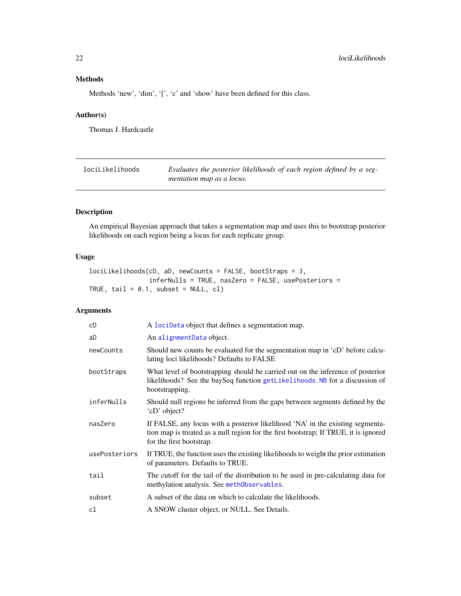## <span id="page-21-0"></span>Methods

Methods 'new', 'dim', '[', 'c' and 'show' have been defined for this class.

#### Author(s)

Thomas J. Hardcastle

<span id="page-21-1"></span>

| lociLikelihoods | Evaluates the posterior likelihoods of each region defined by a seg- |
|-----------------|----------------------------------------------------------------------|
|                 | mentation map as a locus.                                            |

## Description

An empirical Bayesian approach that takes a segmentation map and uses this to bootstrap posterior likelihoods on each region being a locus for each replicate group.

## Usage

```
lociLikelihoods(cD, aD, newCounts = FALSE, bootStraps = 3,
               inferNulls = TRUE, nasZero = FALSE, usePosteriors =
TRUE, tail = 0.1, subset = NULL, cl)
```
## Arguments

| cD            | A lociData object that defines a segmentation map.                                                                                                                                                 |
|---------------|----------------------------------------------------------------------------------------------------------------------------------------------------------------------------------------------------|
| aD            | An alignmentData object.                                                                                                                                                                           |
| newCounts     | Should new counts be evaluated for the segmentation map in 'cD' before calcu-<br>lating loci likelihoods? Defaults to FALSE                                                                        |
| bootStraps    | What level of bootstrapping should be carried out on the inference of posterior<br>likelihoods? See the baySeq function getLikelihoods. NB for a discussion of<br>bootstrapping.                   |
| inferNulls    | Should null regions be inferred from the gaps between segments defined by the<br>'cD' object?                                                                                                      |
| nasZero       | If FALSE, any locus with a posterior likelihood 'NA' in the existing segmenta-<br>tion map is treated as a null region for the first bootstrap; If TRUE, it is ignored<br>for the first bootstrap. |
| usePosteriors | If TRUE, the function uses the existing likelihoods to weight the prior estimation<br>of parameters. Defaults to TRUE.                                                                             |
| tail          | The cutoff for the tail of the distribution to be used in pre-calculating data for<br>methylation analysis. See methObservables.                                                                   |
| subset        | A subset of the data on which to calculate the likelihoods.                                                                                                                                        |
| cl            | A SNOW cluster object, or NULL. See Details.                                                                                                                                                       |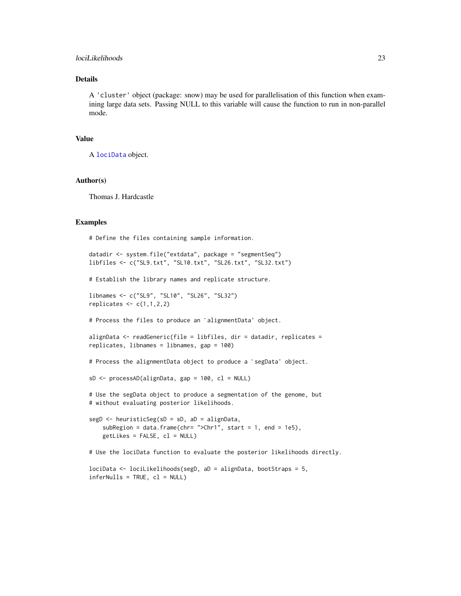## <span id="page-22-0"></span>lociLikelihoods 23

## Details

A 'cluster' object (package: snow) may be used for parallelisation of this function when examining large data sets. Passing NULL to this variable will cause the function to run in non-parallel mode.

#### Value

```
A lociData object.
```
#### Author(s)

Thomas J. Hardcastle

#### Examples

# Define the files containing sample information.

```
datadir <- system.file("extdata", package = "segmentSeq")
libfiles <- c("SL9.txt", "SL10.txt", "SL26.txt", "SL32.txt")
# Establish the library names and replicate structure.
libnames <- c("SL9", "SL10", "SL26", "SL32")
replicates \leq c(1,1,2,2)# Process the files to produce an `alignmentData' object.
alignData <- readGeneric(file = libfiles, dir = datadir, replicates =
# Process the alignmentData object to produce a `segData' object.
replicates, libnames = libnames, gap = 100)
sD <- processAD(alignData, gap = 100, cl = NULL)
# Use the segData object to produce a segmentation of the genome, but
# without evaluating posterior likelihoods.
segD <- heuristicSeg(sD = sD, aD = alignData,
    subRegion = data.frame(chr= ">Chr1", start = 1, end = 1e5),
    getlikes = FALSE, cl = NULL)# Use the lociData function to evaluate the posterior likelihoods directly.
lociData <- lociLikelihoods(segD, aD = alignData, bootStraps = 5,
inferNulls = TRUE, cl = NULL)
```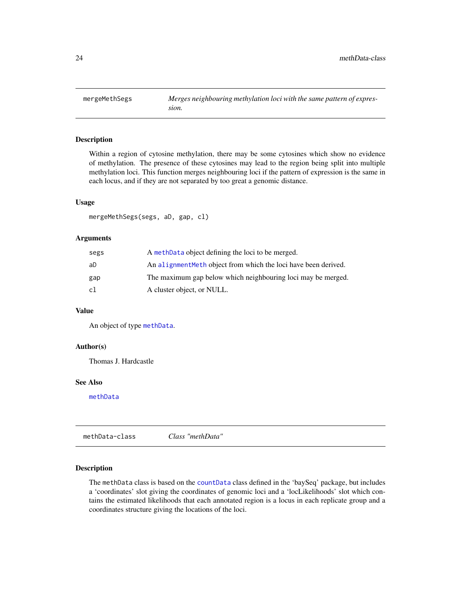<span id="page-23-0"></span>mergeMethSegs *Merges neighbouring methylation loci with the same pattern of expression.*

#### Description

Within a region of cytosine methylation, there may be some cytosines which show no evidence of methylation. The presence of these cytosines may lead to the region being split into multiple methylation loci. This function merges neighbouring loci if the pattern of expression is the same in each locus, and if they are not separated by too great a genomic distance.

#### Usage

mergeMethSegs(segs, aD, gap, cl)

#### Arguments

| segs | A methData object defining the loci to be merged.               |
|------|-----------------------------------------------------------------|
| aD   | An alignment Meth object from which the loci have been derived. |
| gap  | The maximum gap below which neighbouring loci may be merged.    |
| cl   | A cluster object, or NULL.                                      |

#### Value

An object of type [methData](#page-23-2).

## Author(s)

Thomas J. Hardcastle

## See Also

[methData](#page-23-2)

<span id="page-23-1"></span>methData-class *Class "methData"*

## <span id="page-23-2"></span>Description

The methData class is based on the [countData](#page-0-0) class defined in the 'baySeq' package, but includes a 'coordinates' slot giving the coordinates of genomic loci and a 'locLikelihoods' slot which contains the estimated likelihoods that each annotated region is a locus in each replicate group and a coordinates structure giving the locations of the loci.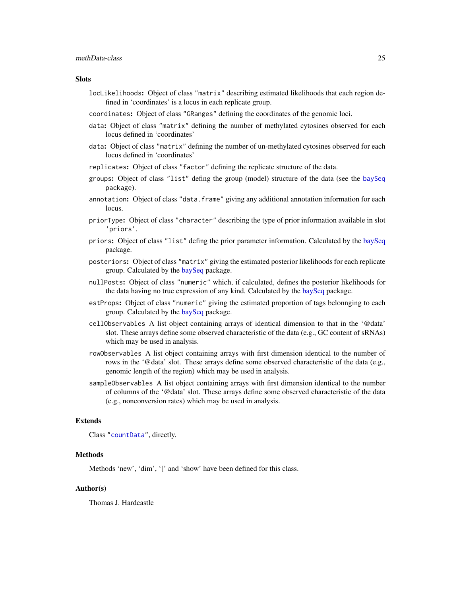#### <span id="page-24-0"></span>**Slots**

- locLikelihoods: Object of class "matrix" describing estimated likelihoods that each region defined in 'coordinates' is a locus in each replicate group.
- coordinates: Object of class "GRanges" defining the coordinates of the genomic loci.
- data: Object of class "matrix" defining the number of methylated cytosines observed for each locus defined in 'coordinates'
- data: Object of class "matrix" defining the number of un-methylated cytosines observed for each locus defined in 'coordinates'
- replicates: Object of class "factor" defining the replicate structure of the data.
- groups: Object of class "list" defing the group (model) structure of the data (see the [baySeq](#page-0-0) package).
- annotation: Object of class "data.frame" giving any additional annotation information for each locus.
- priorType: Object of class "character" describing the type of prior information available in slot 'priors'.
- priors: Object of class "list" defing the prior parameter information. Calculated by the [baySeq](#page-0-0) package.
- posteriors: Object of class "matrix" giving the estimated posterior likelihoods for each replicate group. Calculated by the [baySeq](#page-0-0) package.
- nullPosts: Object of class "numeric" which, if calculated, defines the posterior likelihoods for the data having no true expression of any kind. Calculated by the [baySeq](#page-0-0) package.
- estProps: Object of class "numeric" giving the estimated proportion of tags belonnging to each group. Calculated by the [baySeq](#page-0-0) package.
- cellObservables A list object containing arrays of identical dimension to that in the '@data' slot. These arrays define some observed characteristic of the data (e.g., GC content of sRNAs) which may be used in analysis.
- rowObservables A list object containing arrays with first dimension identical to the number of rows in the '@data' slot. These arrays define some observed characteristic of the data (e.g., genomic length of the region) which may be used in analysis.
- sampleObservables A list object containing arrays with first dimension identical to the number of columns of the '@data' slot. These arrays define some observed characteristic of the data (e.g., nonconversion rates) which may be used in analysis.

## Extends

Class ["countData"](#page-0-0), directly.

#### Methods

Methods 'new', 'dim', '[' and 'show' have been defined for this class.

#### Author(s)

Thomas J. Hardcastle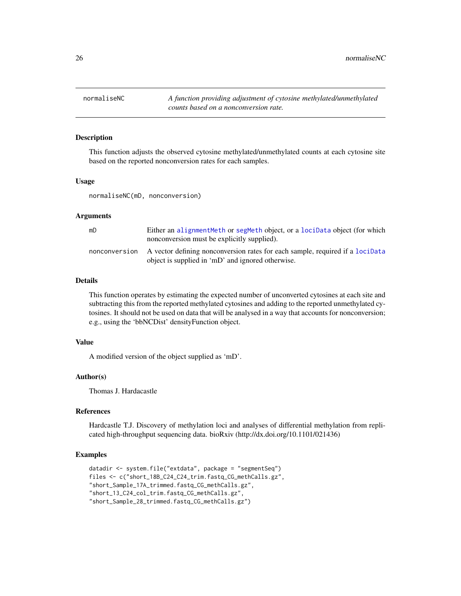<span id="page-25-0"></span>26 normaliseNC normaliseNC normaliseNC normaliseNC normaliseNC

## **Description**

This function adjusts the observed cytosine methylated/unmethylated counts at each cytosine site based on the reported nonconversion rates for each samples.

## Usage

normaliseNC(mD, nonconversion)

#### Arguments

| mD            | Either an alignment Meth or segmeth object, or a locidata object (for which<br>nonconversion must be explicitly supplied).         |
|---------------|------------------------------------------------------------------------------------------------------------------------------------|
| nonconversion | A vector defining nonconversion rates for each sample, required if a locidata<br>object is supplied in 'mD' and ignored otherwise. |

## Details

This function operates by estimating the expected number of unconverted cytosines at each site and subtracting this from the reported methylated cytosines and adding to the reported unmethylated cytosines. It should not be used on data that will be analysed in a way that accounts for nonconversion; e.g., using the 'bbNCDist' densityFunction object.

#### Value

A modified version of the object supplied as 'mD'.

#### Author(s)

Thomas J. Hardacastle

#### References

Hardcastle T.J. Discovery of methylation loci and analyses of differential methylation from replicated high-throughput sequencing data. bioRxiv (http://dx.doi.org/10.1101/021436)

#### Examples

```
datadir <- system.file("extdata", package = "segmentSeq")
files <- c("short_18B_C24_C24_trim.fastq_CG_methCalls.gz",
"short_Sample_17A_trimmed.fastq_CG_methCalls.gz",
"short_13_C24_col_trim.fastq_CG_methCalls.gz",
"short_Sample_28_trimmed.fastq_CG_methCalls.gz")
```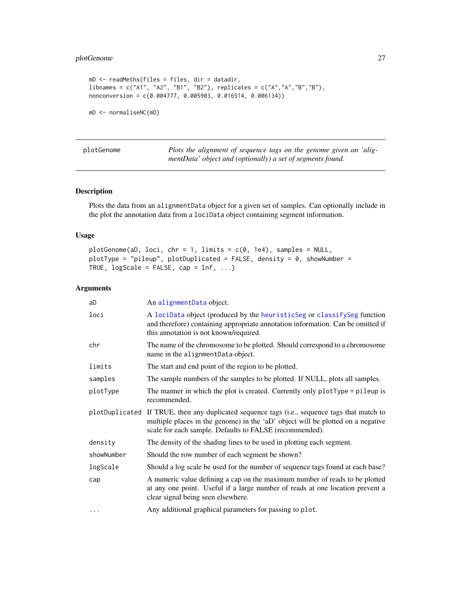## <span id="page-26-0"></span>plotGenome 27

```
mD <- readMeths(files = files, dir = datadir,
libnames = c("A1", "A2", "B1", "B2"), replicates = c("A","A","B","B"),
nonconversion = c(0.004777, 0.005903, 0.016514, 0.006134))
mD <- normaliseNC(mD)
```
<span id="page-26-1"></span>plotGenome *Plots the alignment of sequence tags on the genome given an 'aligmentData' object and (optionally) a set of segments found.*

## Description

Plots the data from an alignmentData object for a given set of samples. Can optionally include in the plot the annotation data from a lociData object containing segment information.

## Usage

 $plotGenome(aD, loci, chr = 1, limits = c(0, 1e4), samples = NULL,$ plotType = "pileup", plotDuplicated = FALSE, density = 0, showNumber = TRUE,  $logScale = FALSE, cap = Inf, ...$ 

#### Arguments

| aD         | An alignmentData object.                                                                                                                                                                                                                   |
|------------|--------------------------------------------------------------------------------------------------------------------------------------------------------------------------------------------------------------------------------------------|
| loci       | A lociData object (produced by the heuristicSeg or classifySeg function<br>and therefore) containing appropriate annotation information. Can be omitted if<br>this annotation is not known/required.                                       |
| chr        | The name of the chromosome to be plotted. Should correspond to a chromosome<br>name in the alignmentData object.                                                                                                                           |
| limits     | The start and end point of the region to be plotted.                                                                                                                                                                                       |
| samples    | The sample numbers of the samples to be plotted. If NULL, plots all samples.                                                                                                                                                               |
| plotType   | The manner in which the plot is created. Currently only plotType = pileup is<br>recommended.                                                                                                                                               |
|            | plotDuplicated If TRUE, then any duplicated sequence tags (i.e., sequence tags that match to<br>multiple places in the genome) in the 'aD' object will be plotted on a negative<br>scale for each sample. Defaults to FALSE (recommended). |
| density    | The density of the shading lines to be used in plotting each segment.                                                                                                                                                                      |
| showNumber | Should the row number of each segment be shown?                                                                                                                                                                                            |
| logScale   | Should a log scale be used for the number of sequence tags found at each base?                                                                                                                                                             |
| cap        | A numeric value defining a cap on the maximum number of reads to be plotted<br>at any one point. Useful if a large number of reads at one location prevent a<br>clear signal being seen elsewhere.                                         |
| $\cdots$   | Any additional graphical parameters for passing to plot.                                                                                                                                                                                   |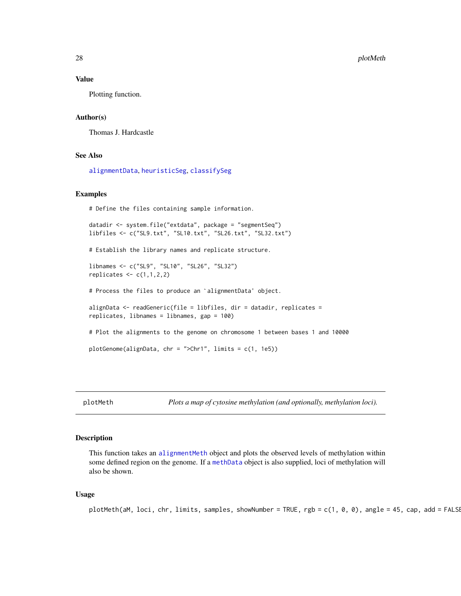#### <span id="page-27-0"></span>Value

Plotting function.

#### Author(s)

Thomas J. Hardcastle

#### See Also

[alignmentData](#page-5-2), [heuristicSeg](#page-17-1), [classifySeg](#page-9-1)

#### Examples

# Define the files containing sample information.

```
datadir <- system.file("extdata", package = "segmentSeq")
libfiles <- c("SL9.txt", "SL10.txt", "SL26.txt", "SL32.txt")
# Establish the library names and replicate structure.
libnames <- c("SL9", "SL10", "SL26", "SL32")
replicates \leq c(1,1,2,2)# Process the files to produce an `alignmentData' object.
alignData \leq readGeneric(file = libfiles, dir = datadir, replicates =
replicates, libnames = libnames, gap = 100)
# Plot the alignments to the genome on chromosome 1 between bases 1 and 10000
plotGenome(alignData, chr = ">Chr1", limits = c(1, 1e5))
```
plotMeth *Plots a map of cytosine methylation (and optionally, methylation loci).*

## Description

This function takes an [alignmentMeth](#page-6-1) object and plots the observed levels of methylation within some defined region on the genome. If a [methData](#page-23-2) object is also supplied, loci of methylation will also be shown.

#### Usage

```
plotMeth(aM, loci, chr, limits, samples, showNumber = TRUE, rgb = c(1, 0, 0), angle = 45, cap, add = FALSE
```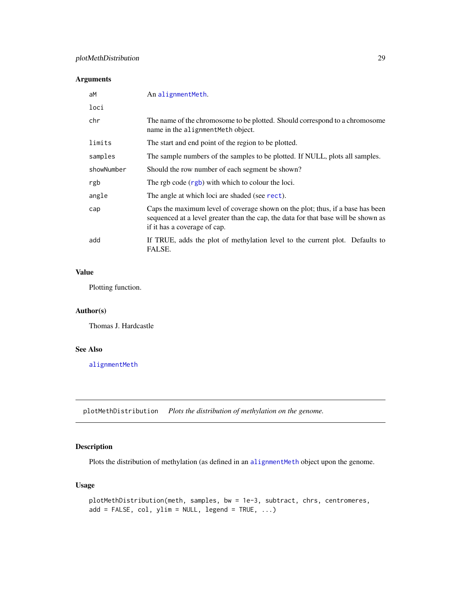## <span id="page-28-0"></span>Arguments

| aM         | An alignmentMeth.                                                                                                                                                                                    |
|------------|------------------------------------------------------------------------------------------------------------------------------------------------------------------------------------------------------|
| loci       |                                                                                                                                                                                                      |
| chr        | The name of the chromosome to be plotted. Should correspond to a chromosome<br>name in the alignment Meth object.                                                                                    |
| limits     | The start and end point of the region to be plotted.                                                                                                                                                 |
| samples    | The sample numbers of the samples to be plotted. If NULL, plots all samples.                                                                                                                         |
| showNumber | Should the row number of each segment be shown?                                                                                                                                                      |
| rgb        | The rgb code (rgb) with which to colour the loci.                                                                                                                                                    |
| angle      | The angle at which loci are shaded (see rect).                                                                                                                                                       |
| cap        | Caps the maximum level of coverage shown on the plot; thus, if a base has been<br>sequenced at a level greater than the cap, the data for that base will be shown as<br>if it has a coverage of cap. |
| add        | If TRUE, adds the plot of methylation level to the current plot. Defaults to<br>FALSE.                                                                                                               |

## Value

Plotting function.

## Author(s)

Thomas J. Hardcastle

## See Also

[alignmentMeth](#page-6-2)

plotMethDistribution *Plots the distribution of methylation on the genome.*

## Description

Plots the distribution of methylation (as defined in an [alignmentMeth](#page-6-1) object upon the genome.

## Usage

```
plotMethDistribution(meth, samples, bw = 1e-3, subtract, chrs, centromeres,
add = FALSE, col, ylim = NULL, legend = TRUE, ...)
```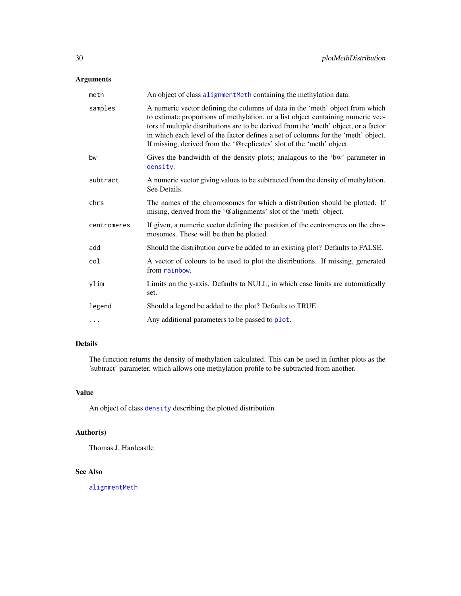## <span id="page-29-0"></span>Arguments

| meth        | An object of class alignmentMeth containing the methylation data.                                                                                                                                                                                                                                                                                                                                                       |
|-------------|-------------------------------------------------------------------------------------------------------------------------------------------------------------------------------------------------------------------------------------------------------------------------------------------------------------------------------------------------------------------------------------------------------------------------|
| samples     | A numeric vector defining the columns of data in the 'meth' object from which<br>to estimate proportions of methylation, or a list object containing numeric vec-<br>tors if multiple distributions are to be derived from the 'meth' object, or a factor<br>in which each level of the factor defines a set of columns for the 'meth' object.<br>If missing, derived from the '@replicates' slot of the 'meth' object. |
| bw          | Gives the bandwidth of the density plots; analagous to the 'bw' parameter in<br>density.                                                                                                                                                                                                                                                                                                                                |
| subtract    | A numeric vector giving values to be subtracted from the density of methylation.<br>See Details.                                                                                                                                                                                                                                                                                                                        |
| chrs        | The names of the chromosomes for which a distribution should be plotted. If<br>mising, derived from the '@alignments' slot of the 'meth' object.                                                                                                                                                                                                                                                                        |
| centromeres | If given, a numeric vector defining the position of the centromeres on the chro-<br>mosomes. These will be then be plotted.                                                                                                                                                                                                                                                                                             |
| add         | Should the distribution curve be added to an existing plot? Defaults to FALSE.                                                                                                                                                                                                                                                                                                                                          |
| col         | A vector of colours to be used to plot the distributions. If missing, generated<br>from rainbow.                                                                                                                                                                                                                                                                                                                        |
| ylim        | Limits on the y-axis. Defaults to NULL, in which case limits are automatically<br>set.                                                                                                                                                                                                                                                                                                                                  |
| legend      | Should a legend be added to the plot? Defaults to TRUE.                                                                                                                                                                                                                                                                                                                                                                 |
| $\cdots$    | Any additional parameters to be passed to plot.                                                                                                                                                                                                                                                                                                                                                                         |

## Details

The function returns the density of methylation calculated. This can be used in further plots as the 'subtract' parameter, which allows one methylation profile to be subtracted from another.

## Value

An object of class [density](#page-0-0) describing the plotted distribution.

## Author(s)

Thomas J. Hardcastle

## See Also

[alignmentMeth](#page-6-1)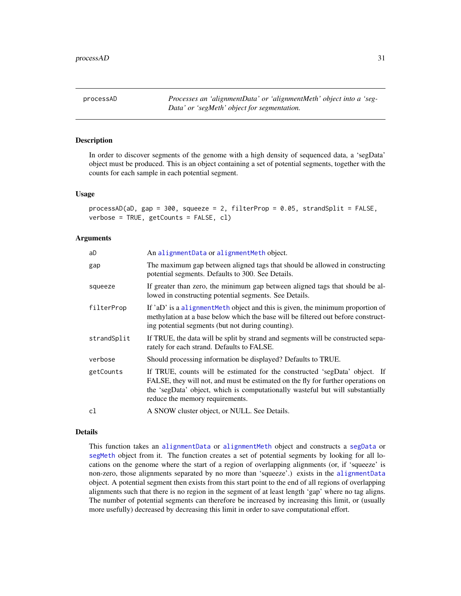<span id="page-30-1"></span><span id="page-30-0"></span>processAD *Processes an 'alignmentData' or 'alignmentMeth' object into a 'seg-Data' or 'segMeth' object for segmentation.*

#### Description

In order to discover segments of the genome with a high density of sequenced data, a 'segData' object must be produced. This is an object containing a set of potential segments, together with the counts for each sample in each potential segment.

#### Usage

```
processAD(aD, gap = 300, squeeze = 2, filterProp = 0.05, strandSplit = FALSE,
verbose = TRUE, getCounts = FALSE, cl)
```
#### Arguments

| aD          | An alignmentData or alignmentMeth object.                                                                                                                                                                                                                                           |
|-------------|-------------------------------------------------------------------------------------------------------------------------------------------------------------------------------------------------------------------------------------------------------------------------------------|
| gap         | The maximum gap between aligned tags that should be allowed in constructing<br>potential segments. Defaults to 300. See Details.                                                                                                                                                    |
| squeeze     | If greater than zero, the minimum gap between aligned tags that should be al-<br>lowed in constructing potential segments. See Details.                                                                                                                                             |
| filterProp  | If 'aD' is a alignment Meth object and this is given, the minimum proportion of<br>methylation at a base below which the base will be filtered out before construct-<br>ing potential segments (but not during counting).                                                           |
| strandSplit | If TRUE, the data will be split by strand and segments will be constructed sepa-<br>rately for each strand. Defaults to FALSE.                                                                                                                                                      |
| verbose     | Should processing information be displayed? Defaults to TRUE.                                                                                                                                                                                                                       |
| getCounts   | If TRUE, counts will be estimated for the constructed 'segData' object. If<br>FALSE, they will not, and must be estimated on the fly for further operations on<br>the 'segData' object, which is computationally wasteful but will substantially<br>reduce the memory requirements. |
| cl          | A SNOW cluster object, or NULL. See Details.                                                                                                                                                                                                                                        |
|             |                                                                                                                                                                                                                                                                                     |

## Details

This function takes an [alignmentData](#page-5-2) or [alignmentMeth](#page-6-2) object and constructs a [segData](#page-36-1) or [segMeth](#page-37-1) object from it. The function creates a set of potential segments by looking for all locations on the genome where the start of a region of overlapping alignments (or, if 'squeeze' is non-zero, those alignments separated by no more than 'squeeze'.) exists in the [alignmentData](#page-5-2) object. A potential segment then exists from this start point to the end of all regions of overlapping alignments such that there is no region in the segment of at least length 'gap' where no tag aligns. The number of potential segments can therefore be increased by increasing this limit, or (usually more usefully) decreased by decreasing this limit in order to save computational effort.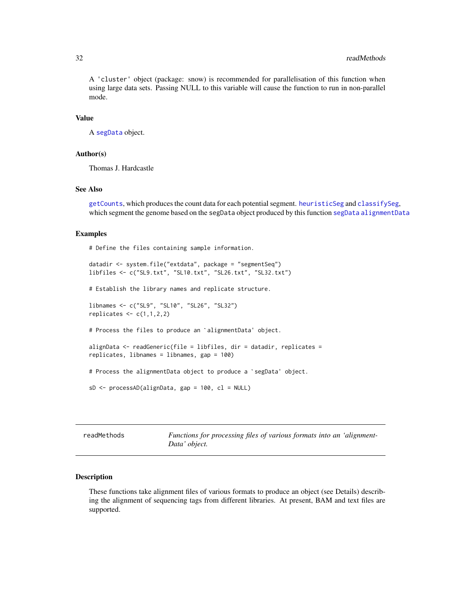#### <span id="page-31-0"></span>32 readMethods and the contract of the contract of the contract of the contract of the contract of the contract of the contract of the contract of the contract of the contract of the contract of the contract of the contrac

A 'cluster' object (package: snow) is recommended for parallelisation of this function when using large data sets. Passing NULL to this variable will cause the function to run in non-parallel mode.

#### Value

A [segData](#page-36-1) object.

#### Author(s)

Thomas J. Hardcastle

## See Also

[getCounts](#page-12-1), which produces the count data for each potential segment. [heuristicSeg](#page-17-1) and [classifySeg](#page-9-1), which segment the genome based on the segData object produced by this function [segData](#page-36-1) [alignmentData](#page-5-2)

#### Examples

# Define the files containing sample information.

```
datadir <- system.file("extdata", package = "segmentSeq")
libfiles <- c("SL9.txt", "SL10.txt", "SL26.txt", "SL32.txt")
```
# Establish the library names and replicate structure.

libnames <- c("SL9", "SL10", "SL26", "SL32") replicates  $\leq c(1,1,2,2)$ 

# Process the files to produce an `alignmentData' object.

```
alignData <- readGeneric(file = libfiles, dir = datadir, replicates =
replicates, libnames = libnames, gap = 100)
```
# Process the alignmentData object to produce a `segData' object.

```
sD \leftarrow processAD(alignData, gap = 100, cl = NULL)
```
readMethods *Functions for processing files of various formats into an 'alignment-Data' object.*

#### <span id="page-31-1"></span>Description

These functions take alignment files of various formats to produce an object (see Details) describing the alignment of sequencing tags from different libraries. At present, BAM and text files are supported.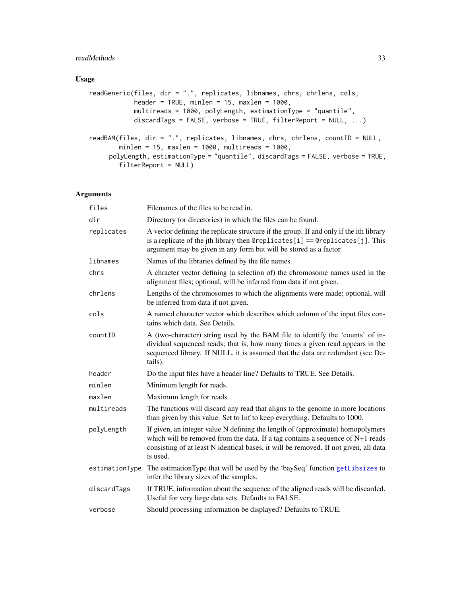## <span id="page-32-0"></span>readMethods 33

## Usage

```
readGeneric(files, dir = ".", replicates, libnames, chrs, chrlens, cols,
            header = TRUE, minlen = 15, maxlen = 1000,
            multireads = 1000, polyLength, estimationType = "quantile",
            discardTags = FALSE, verbose = TRUE, filterReport = NULL, ...)
readBAM(files, dir = ".", replicates, libnames, chrs, chrlens, countID = NULL,
       minlen = 15, maxlen = 1000, multireads = 1000,
     polyLength, estimationType = "quantile", discardTags = FALSE, verbose = TRUE,
       filterReport = NULL)
```
## Arguments

| files          | Filenames of the files to be read in.                                                                                                                                                                                                                                  |  |
|----------------|------------------------------------------------------------------------------------------------------------------------------------------------------------------------------------------------------------------------------------------------------------------------|--|
| dir            | Directory (or directories) in which the files can be found.                                                                                                                                                                                                            |  |
| replicates     | A vector defining the replicate structure if the group. If and only if the ith library<br>is a replicate of the jth library then @ereplicates[i] == @ereplicates[j]. This<br>argument may be given in any form but will be stored as a factor.                         |  |
| libnames       | Names of the libraries defined by the file names.                                                                                                                                                                                                                      |  |
| chrs           | A chracter vector defining (a selection of) the chromosome names used in the<br>alignment files; optional, will be inferred from data if not given.                                                                                                                    |  |
| chrlens        | Lengths of the chromosomes to which the alignments were made; optional, will<br>be inferred from data if not given.                                                                                                                                                    |  |
| cols           | A named character vector which describes which column of the input files con-<br>tains which data. See Details.                                                                                                                                                        |  |
| countID        | A (two-character) string used by the BAM file to identify the 'counts' of in-<br>dividual sequenced reads; that is, how many times a given read appears in the<br>sequenced library. If NULL, it is assumed that the data are redundant (see De-<br>tails).            |  |
| header         | Do the input files have a header line? Defaults to TRUE. See Details.                                                                                                                                                                                                  |  |
| minlen         | Minimum length for reads.                                                                                                                                                                                                                                              |  |
| maxlen         | Maximum length for reads.                                                                                                                                                                                                                                              |  |
| multireads     | The functions will discard any read that aligns to the genome in more locations<br>than given by this value. Set to Inf to keep everything. Defaults to 1000.                                                                                                          |  |
| polyLength     | If given, an integer value N defining the length of (approximate) homopolymers<br>which will be removed from the data. If a tag contains a sequence of $N+1$ reads<br>consisting of at least N identical bases, it will be removed. If not given, all data<br>is used. |  |
| estimationType | The estimation Type that will be used by the 'baySeq' function getLibsizes to<br>infer the library sizes of the samples.                                                                                                                                               |  |
| discardTags    | If TRUE, information about the sequence of the aligned reads will be discarded.<br>Useful for very large data sets. Defaults to FALSE.                                                                                                                                 |  |
| verbose        | Should processing information be displayed? Defaults to TRUE.                                                                                                                                                                                                          |  |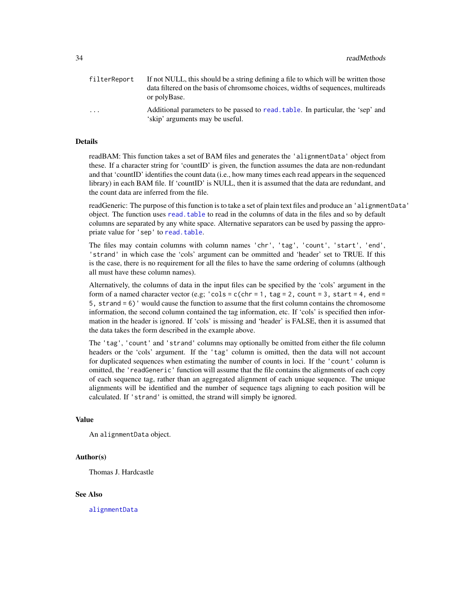<span id="page-33-0"></span>

| filterReport | If not NULL, this should be a string defining a file to which will be written those<br>data filtered on the basis of chromsome choices, widths of sequences, multireads<br>or polyBase. |
|--------------|-----------------------------------------------------------------------------------------------------------------------------------------------------------------------------------------|
| .            | Additional parameters to be passed to read, table. In particular, the 'sep' and<br>'skip' arguments may be useful.                                                                      |

## Details

readBAM: This function takes a set of BAM files and generates the 'alignmentData' object from these. If a character string for 'countID' is given, the function assumes the data are non-redundant and that 'countID' identifies the count data (i.e., how many times each read appears in the sequenced library) in each BAM file. If 'countID' is NULL, then it is assumed that the data are redundant, and the count data are inferred from the file.

readGeneric: The purpose of this function is to take a set of plain text files and produce an 'alignmentData' object. The function uses [read.table](#page-0-0) to read in the columns of data in the files and so by default columns are separated by any white space. Alternative separators can be used by passing the appropriate value for 'sep' to [read.table](#page-0-0).

The files may contain columns with column names 'chr', 'tag', 'count', 'start', 'end', 'strand' in which case the 'cols' argument can be ommitted and 'header' set to TRUE. If this is the case, there is no requirement for all the files to have the same ordering of columns (although all must have these column names).

Alternatively, the columns of data in the input files can be specified by the 'cols' argument in the form of a named character vector (e.g;  $'cols = c(chr = 1, tag = 2, count = 3, start = 4, end =$ 5, strand = 6)' would cause the function to assume that the first column contains the chromosome information, the second column contained the tag information, etc. If 'cols' is specified then information in the header is ignored. If 'cols' is missing and 'header' is FALSE, then it is assumed that the data takes the form described in the example above.

The 'tag', 'count' and 'strand' columns may optionally be omitted from either the file column headers or the 'cols' argument. If the 'tag' column is omitted, then the data will not account for duplicated sequences when estimating the number of counts in loci. If the 'count' column is omitted, the 'readGeneric' function will assume that the file contains the alignments of each copy of each sequence tag, rather than an aggregated alignment of each unique sequence. The unique alignments will be identified and the number of sequence tags aligning to each position will be calculated. If 'strand' is omitted, the strand will simply be ignored.

#### Value

An alignmentData object.

#### Author(s)

Thomas J. Hardcastle

#### See Also

[alignmentData](#page-5-1)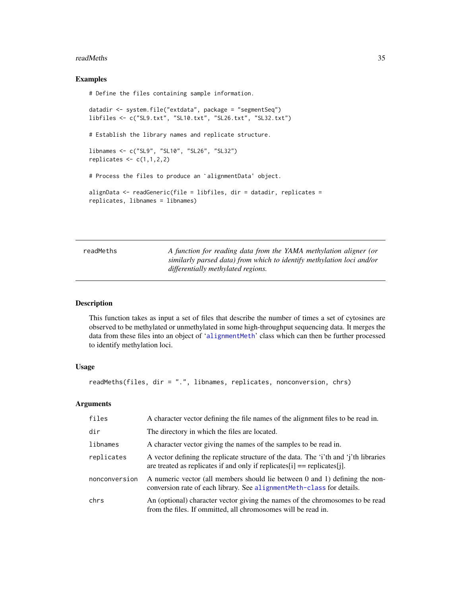#### <span id="page-34-0"></span>**readMeths** 35

#### Examples

# Define the files containing sample information.

```
datadir <- system.file("extdata", package = "segmentSeq")
libfiles <- c("SL9.txt", "SL10.txt", "SL26.txt", "SL32.txt")
# Establish the library names and replicate structure.
libnames <- c("SL9", "SL10", "SL26", "SL32")
replicates \leq c(1,1,2,2)# Process the files to produce an `alignmentData' object.
alignData <- readGeneric(file = libfiles, dir = datadir, replicates =
replicates, libnames = libnames)
```
<span id="page-34-1"></span>

| readMeths | A function for reading data from the YAMA methylation aligner (or     |
|-----------|-----------------------------------------------------------------------|
|           | similarly parsed data) from which to identify methylation loci and/or |
|           | differentially methylated regions.                                    |

#### Description

This function takes as input a set of files that describe the number of times a set of cytosines are observed to be methylated or unmethylated in some high-throughput sequencing data. It merges the data from these files into an object of '[alignmentMeth](#page-6-1)' class which can then be further processed to identify methylation loci.

#### Usage

```
readMeths(files, dir = ".", libnames, replicates, nonconversion, chrs)
```
#### Arguments

| files         | A character vector defining the file names of the alignment files to be read in.                                                                                        |
|---------------|-------------------------------------------------------------------------------------------------------------------------------------------------------------------------|
| dir           | The directory in which the files are located.                                                                                                                           |
| libnames      | A character vector giving the names of the samples to be read in.                                                                                                       |
| replicates    | A vector defining the replicate structure of the data. The 'i'th and 'i'th libraries<br>are treated as replicates if and only if replicates $[i] ==$ replicates $[i]$ . |
| nonconversion | A numeric vector (all members should lie between 0 and 1) defining the non-<br>conversion rate of each library. See alignment Meth-class for details.                   |
| chrs          | An (optional) character vector giving the names of the chromosomes to be read<br>from the files. If ommitted, all chromosomes will be read in.                          |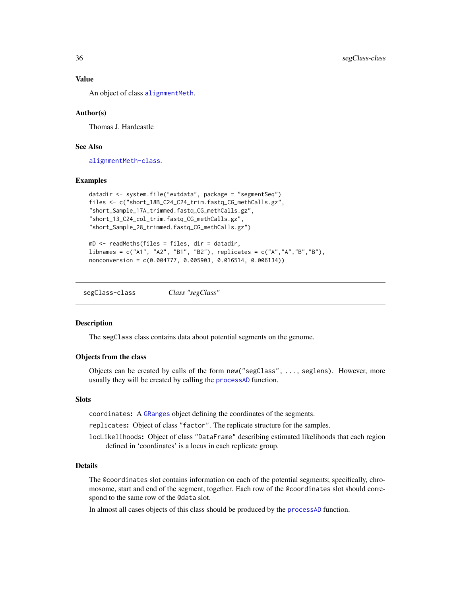#### Value

An object of class [alignmentMeth](#page-6-1).

#### Author(s)

Thomas J. Hardcastle

#### See Also

[alignmentMeth-class](#page-6-2).

#### Examples

```
datadir <- system.file("extdata", package = "segmentSeq")
files <- c("short_18B_C24_C24_trim.fastq_CG_methCalls.gz",
"short_Sample_17A_trimmed.fastq_CG_methCalls.gz",
"short_13_C24_col_trim.fastq_CG_methCalls.gz",
"short_Sample_28_trimmed.fastq_CG_methCalls.gz")
```

```
mD <- readMeths(files = files, dir = datadir,
libnames = c("A1", "A2", "B1", "B2"), replicates = c("A","A","B","B"),
nonconversion = c(0.004777, 0.005903, 0.016514, 0.006134))
```
segClass-class *Class "segClass"*

#### <span id="page-35-1"></span>Description

The segClass class contains data about potential segments on the genome.

#### Objects from the class

Objects can be created by calls of the form new("segClass", ..., seglens). However, more usually they will be created by calling the [processAD](#page-30-1) function.

#### **Slots**

coordinates: A [GRanges](#page-0-0) object defining the coordinates of the segments.

replicates: Object of class "factor". The replicate structure for the samples.

locLikelihoods: Object of class "DataFrame" describing estimated likelihoods that each region defined in 'coordinates' is a locus in each replicate group.

## **Details**

The @coordinates slot contains information on each of the potential segments; specifically, chromosome, start and end of the segment, together. Each row of the @coordinates slot should correspond to the same row of the @data slot.

In almost all cases objects of this class should be produced by the [processAD](#page-30-1) function.

<span id="page-35-0"></span>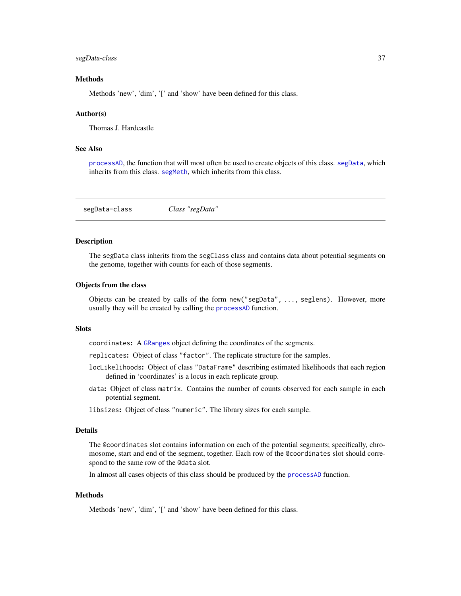#### <span id="page-36-0"></span>segData-class 37

#### Methods

Methods 'new', 'dim', '[' and 'show' have been defined for this class.

#### Author(s)

Thomas J. Hardcastle

## See Also

[processAD](#page-30-1), the function that will most often be used to create objects of this class. [segData](#page-36-2), which inherits from this class. [segMeth](#page-37-2), which inherits from this class.

<span id="page-36-1"></span>segData-class *Class "segData"*

#### <span id="page-36-2"></span>**Description**

The segData class inherits from the segClass class and contains data about potential segments on the genome, together with counts for each of those segments.

#### Objects from the class

Objects can be created by calls of the form new("segData", ..., seglens). However, more usually they will be created by calling the [processAD](#page-30-1) function.

#### **Slots**

coordinates: A [GRanges](#page-0-0) object defining the coordinates of the segments.

- replicates: Object of class "factor". The replicate structure for the samples.
- locLikelihoods: Object of class "DataFrame" describing estimated likelihoods that each region defined in 'coordinates' is a locus in each replicate group.
- data: Object of class matrix. Contains the number of counts observed for each sample in each potential segment.
- libsizes: Object of class "numeric". The library sizes for each sample.

#### Details

The @coordinates slot contains information on each of the potential segments; specifically, chromosome, start and end of the segment, together. Each row of the @coordinates slot should correspond to the same row of the @data slot.

In almost all cases objects of this class should be produced by the [processAD](#page-30-1) function.

#### **Methods**

Methods 'new', 'dim', '[' and 'show' have been defined for this class.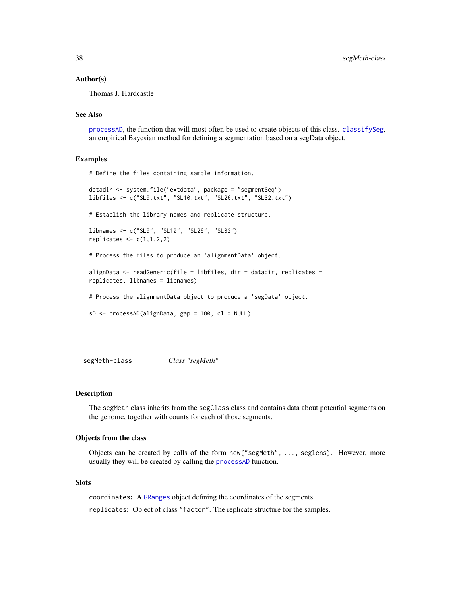#### <span id="page-37-0"></span>Author(s)

Thomas J. Hardcastle

## See Also

[processAD](#page-30-1), the function that will most often be used to create objects of this class. [classifySeg](#page-9-1), an empirical Bayesian method for defining a segmentation based on a segData object.

#### Examples

# Define the files containing sample information.

```
datadir <- system.file("extdata", package = "segmentSeq")
libfiles <- c("SL9.txt", "SL10.txt", "SL26.txt", "SL32.txt")
```
# Establish the library names and replicate structure.

```
libnames <- c("SL9", "SL10", "SL26", "SL32")
replicates \leq c(1,1,2,2)
```
# Process the files to produce an 'alignmentData' object.

```
alignData <- readGeneric(file = libfiles, dir = datadir, replicates =
replicates, libnames = libnames)
```
# Process the alignmentData object to produce a 'segData' object.

 $sD \leftarrow processAD(alignData, gap = 100, cl = NULL)$ 

<span id="page-37-1"></span>segMeth-class *Class "segMeth"*

#### <span id="page-37-2"></span>Description

The segMeth class inherits from the segClass class and contains data about potential segments on the genome, together with counts for each of those segments.

## Objects from the class

Objects can be created by calls of the form new("segMeth", ..., seglens). However, more usually they will be created by calling the [processAD](#page-30-1) function.

#### **Slots**

coordinates: A [GRanges](#page-0-0) object defining the coordinates of the segments.

replicates: Object of class "factor". The replicate structure for the samples.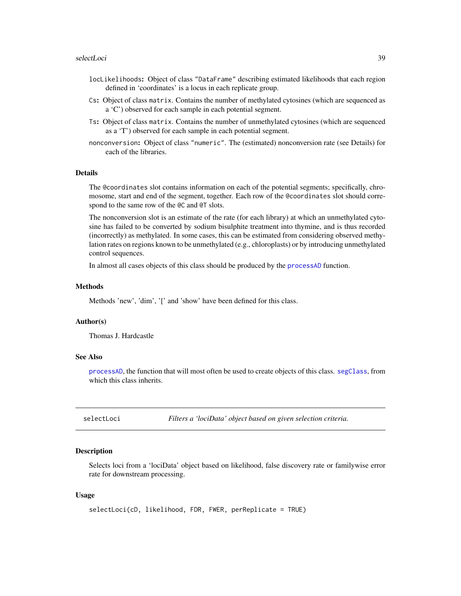#### <span id="page-38-0"></span>selectLoci 39

- locLikelihoods: Object of class "DataFrame" describing estimated likelihoods that each region defined in 'coordinates' is a locus in each replicate group.
- Cs: Object of class matrix. Contains the number of methylated cytosines (which are sequenced as a 'C') observed for each sample in each potential segment.
- Ts: Object of class matrix. Contains the number of unmethylated cytosines (which are sequenced as a 'T') observed for each sample in each potential segment.
- nonconversion: Object of class "numeric". The (estimated) nonconversion rate (see Details) for each of the libraries.

#### Details

The @coordinates slot contains information on each of the potential segments; specifically, chromosome, start and end of the segment, together. Each row of the @coordinates slot should correspond to the same row of the @C and @T slots.

The nonconversion slot is an estimate of the rate (for each library) at which an unmethylated cytosine has failed to be converted by sodium bisulphite treatment into thymine, and is thus recorded (incorrectly) as methylated. In some cases, this can be estimated from considering observed methylation rates on regions known to be unmethylated (e.g., chloroplasts) or by introducing unmethylated control sequences.

In almost all cases objects of this class should be produced by the [processAD](#page-30-1) function.

#### Methods

Methods 'new', 'dim', '[' and 'show' have been defined for this class.

#### Author(s)

Thomas J. Hardcastle

#### See Also

[processAD](#page-30-1), the function that will most often be used to create objects of this class. [segClass](#page-35-1), from which this class inherits.

selectLoci *Filters a 'lociData' object based on given selection criteria.*

#### Description

Selects loci from a 'lociData' object based on likelihood, false discovery rate or familywise error rate for downstream processing.

#### Usage

```
selectLoci(cD, likelihood, FDR, FWER, perReplicate = TRUE)
```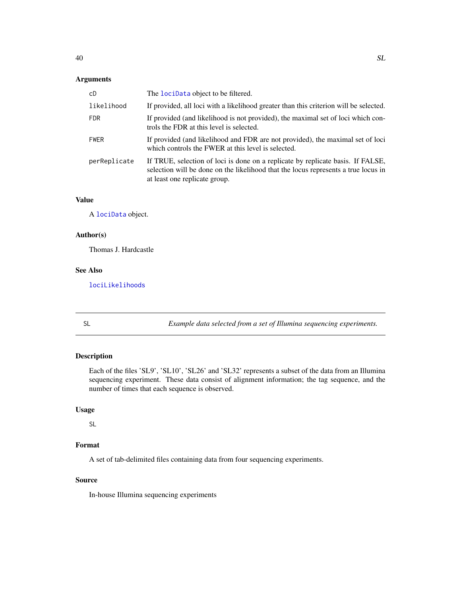## <span id="page-39-0"></span>Arguments

| cD           | The lociData object to be filtered.                                                                                                                                                                    |
|--------------|--------------------------------------------------------------------------------------------------------------------------------------------------------------------------------------------------------|
| likelihood   | If provided, all loci with a likelihood greater than this criterion will be selected.                                                                                                                  |
| <b>FDR</b>   | If provided (and likelihood is not provided), the maximal set of loci which con-<br>trols the FDR at this level is selected.                                                                           |
| <b>FWER</b>  | If provided (and likelihood and FDR are not provided), the maximal set of loci<br>which controls the FWER at this level is selected.                                                                   |
| perReplicate | If TRUE, selection of loci is done on a replicate by replicate basis. If FALSE,<br>selection will be done on the likelihood that the locus represents a true locus in<br>at least one replicate group. |

## Value

A [lociData](#page-20-1) object.

## Author(s)

Thomas J. Hardcastle

## See Also

[lociLikelihoods](#page-21-1)

SL *Example data selected from a set of Illumina sequencing experiments.*

## Description

Each of the files 'SL9', 'SL10', 'SL26' and 'SL32' represents a subset of the data from an Illumina sequencing experiment. These data consist of alignment information; the tag sequence, and the number of times that each sequence is observed.

## Usage

SL

## Format

A set of tab-delimited files containing data from four sequencing experiments.

## Source

In-house Illumina sequencing experiments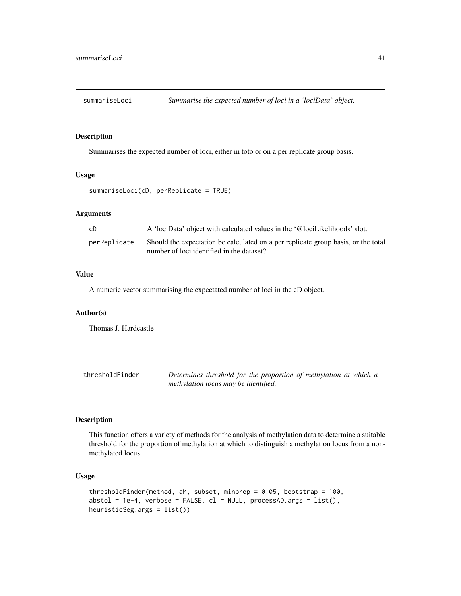<span id="page-40-0"></span>

## Description

Summarises the expected number of loci, either in toto or on a per replicate group basis.

#### Usage

```
summariseLoci(cD, perReplicate = TRUE)
```
#### Arguments

| сD           | A 'lociData' object with calculated values in the '@lociLikelihoods' slot.                                                     |
|--------------|--------------------------------------------------------------------------------------------------------------------------------|
| perReplicate | Should the expectation be calculated on a per replicate group basis, or the total<br>number of loci identified in the dataset? |

## Value

A numeric vector summarising the expectated number of loci in the cD object.

## Author(s)

Thomas J. Hardcastle

<span id="page-40-1"></span>

| thresholdFinder | Determines threshold for the proportion of methylation at which a |
|-----------------|-------------------------------------------------------------------|
|                 | methylation locus may be identified.                              |

## Description

This function offers a variety of methods for the analysis of methylation data to determine a suitable threshold for the proportion of methylation at which to distinguish a methylation locus from a nonmethylated locus.

## Usage

```
thresholdFinder(method, aM, subset, minprop = 0.05, bootstrap = 100,
abstol = 1e-4, verbose = FALSE, cl = NULL, processAD.args = list(),
heuristicSeg.args = list())
```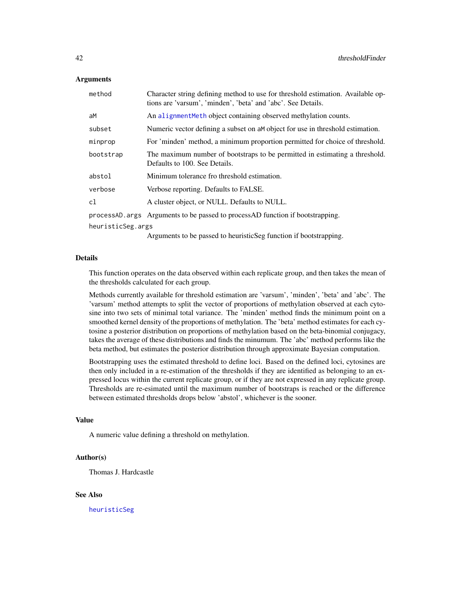#### <span id="page-41-0"></span>Arguments

| method            | Character string defining method to use for threshold estimation. Available op-<br>tions are 'varsum', 'minden', 'beta' and 'abc'. See Details. |  |
|-------------------|-------------------------------------------------------------------------------------------------------------------------------------------------|--|
| aM                | An alignment Meth object containing observed methylation counts.                                                                                |  |
| subset            | Numeric vector defining a subset on a Mobject for use in threshold estimation.                                                                  |  |
| minprop           | For 'minden' method, a minimum proportion permitted for choice of threshold.                                                                    |  |
| bootstrap         | The maximum number of bootstraps to be permitted in estimating a threshold.<br>Defaults to 100. See Details.                                    |  |
| abstol            | Minimum tolerance fro threshold estimation.                                                                                                     |  |
| verbose           | Verbose reporting. Defaults to FALSE.                                                                                                           |  |
| cl                | A cluster object, or NULL. Defaults to NULL.                                                                                                    |  |
|                   | process AD args Arguments to be passed to process AD function if bootstrapping.                                                                 |  |
| heuristicSeg.args |                                                                                                                                                 |  |
|                   | Arguments to be passed to heuristicSeg function if bootstrapping.                                                                               |  |

#### Details

This function operates on the data observed within each replicate group, and then takes the mean of the thresholds calculated for each group.

Methods currently available for threshold estimation are 'varsum', 'minden', 'beta' and 'abc'. The 'varsum' method attempts to split the vector of proportions of methylation observed at each cytosine into two sets of minimal total variance. The 'minden' method finds the minimum point on a smoothed kernel density of the proportions of methylation. The 'beta' method estimates for each cytosine a posterior distribution on proportions of methylation based on the beta-binomial conjugacy, takes the average of these distributions and finds the minumum. The 'abc' method performs like the beta method, but estimates the posterior distribution through approximate Bayesian computation.

Bootstrapping uses the estimated threshold to define loci. Based on the defined loci, cytosines are then only included in a re-estimation of the thresholds if they are identified as belonging to an expressed locus within the current replicate group, or if they are not expressed in any replicate group. Thresholds are re-esimated until the maximum number of bootstraps is reached or the difference between estimated thresholds drops below 'abstol', whichever is the sooner.

#### Value

A numeric value defining a threshold on methylation.

## Author(s)

Thomas J. Hardcastle

## See Also

[heuristicSeg](#page-17-1)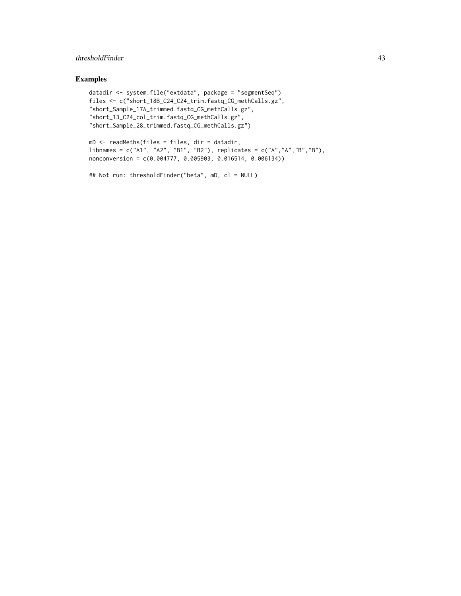## thresholdFinder 43

## Examples

```
datadir <- system.file("extdata", package = "segmentSeq")
files <- c("short_18B_C24_C24_trim.fastq_CG_methCalls.gz",
"short_Sample_17A_trimmed.fastq_CG_methCalls.gz",
"short_13_C24_col_trim.fastq_CG_methCalls.gz",
"short_Sample_28_trimmed.fastq_CG_methCalls.gz")
```

```
mD <- readMeths(files = files, dir = datadir,
libnames = c("A1", "A2", "B1", "B2"), replicates = c("A","A","B","B"),
nonconversion = c(0.004777, 0.005903, 0.016514, 0.006134))
```

```
## Not run: thresholdFinder("beta", mD, cl = NULL)
```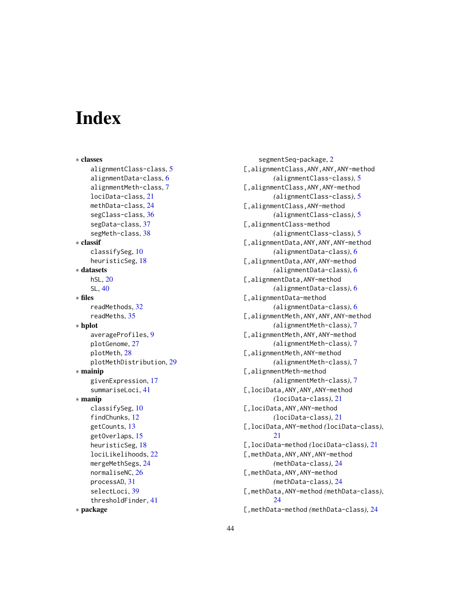# <span id="page-43-0"></span>**Index**

∗ classes alignmentClass-class, [5](#page-4-0) alignmentData-class, [6](#page-5-0) alignmentMeth-class, [7](#page-6-0) lociData-class, [21](#page-20-0) methData-class, [24](#page-23-0) segClass-class, [36](#page-35-0) segData-class, [37](#page-36-0) segMeth-class, [38](#page-37-0) ∗ classif classifySeg, [10](#page-9-0) heuristicSeg, [18](#page-17-0) ∗ datasets hSL, [20](#page-19-0) SL, [40](#page-39-0) ∗ files readMethods, [32](#page-31-0) readMeths, [35](#page-34-0) ∗ hplot averageProfiles, [9](#page-8-0) plotGenome, [27](#page-26-0) plotMeth, [28](#page-27-0) plotMethDistribution, [29](#page-28-0) ∗ mainip givenExpression, [17](#page-16-0) summariseLoci, [41](#page-40-0) ∗ manip classifySeg, [10](#page-9-0) findChunks, [12](#page-11-0) getCounts, [13](#page-12-0) getOverlaps, [15](#page-14-0) heuristicSeg, [18](#page-17-0) lociLikelihoods, [22](#page-21-0) mergeMethSegs, [24](#page-23-0) normaliseNC, [26](#page-25-0) processAD, [31](#page-30-0) selectLoci, [39](#page-38-0) thresholdFinder, [41](#page-40-0) ∗ package

segmentSeq-package, [2](#page-1-0) [,alignmentClass,ANY,ANY,ANY-method *(*alignmentClass-class*)*, [5](#page-4-0) [,alignmentClass,ANY,ANY-method *(*alignmentClass-class*)*, [5](#page-4-0) [,alignmentClass,ANY-method *(*alignmentClass-class*)*, [5](#page-4-0) [,alignmentClass-method *(*alignmentClass-class*)*, [5](#page-4-0) [,alignmentData,ANY,ANY,ANY-method *(*alignmentData-class*)*, [6](#page-5-0) [,alignmentData,ANY,ANY-method *(*alignmentData-class*)*, [6](#page-5-0) [,alignmentData,ANY-method *(*alignmentData-class*)*, [6](#page-5-0) [,alignmentData-method *(*alignmentData-class*)*, [6](#page-5-0) [,alignmentMeth,ANY,ANY,ANY-method *(*alignmentMeth-class*)*, [7](#page-6-0) [,alignmentMeth,ANY,ANY-method *(*alignmentMeth-class*)*, [7](#page-6-0) [,alignmentMeth,ANY-method *(*alignmentMeth-class*)*, [7](#page-6-0) [, alignmentMeth-method *(*alignmentMeth-class*)*, [7](#page-6-0) [,lociData,ANY,ANY,ANY-method *(*lociData-class*)*, [21](#page-20-0) [,lociData,ANY,ANY-method *(*lociData-class*)*, [21](#page-20-0) [,lociData,ANY-method *(*lociData-class*)*, [21](#page-20-0) [,lociData-method *(*lociData-class*)*, [21](#page-20-0) [,methData,ANY,ANY,ANY-method *(*methData-class*)*, [24](#page-23-0) [,methData,ANY,ANY-method *(*methData-class*)*, [24](#page-23-0) [,methData,ANY-method *(*methData-class*)*, [24](#page-23-0) [,methData-method *(*methData-class*)*, [24](#page-23-0)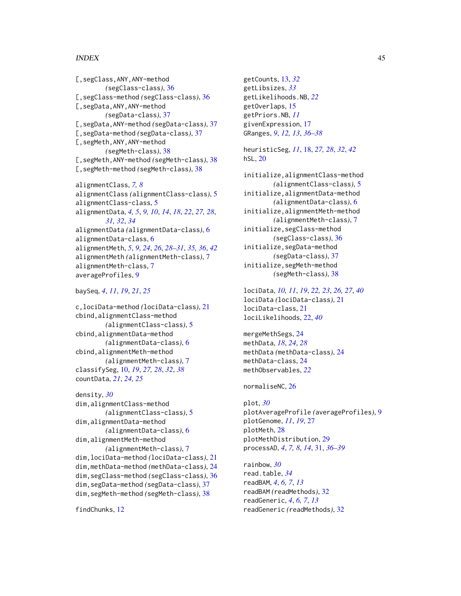#### INDEX 45

```
[, segClass, ANY, ANY-method
        (segClass-class), 36
[,segClass-method (segClass-class), 36
[,segData,ANY,ANY-method
        (segData-class), 37
[,segData,ANY-method (segData-class), 37
[,segData-method (segData-class), 37
[,segMeth,ANY,ANY-method
        (segMeth-class), 38
[,segMeth,ANY-method (segMeth-class), 38
[,segMeth-method (segMeth-class), 38
alignmentClass, 7, 8
alignmentClass (alignmentClass-class), 5
alignmentClass-class, 5
```
alignmentData, *[4,](#page-3-0) [5](#page-4-0)*, *[9,](#page-8-0) [10](#page-9-0)*, *[14](#page-13-0)*, *[18](#page-17-0)*, *[22](#page-21-0)*, *[27,](#page-26-0) [28](#page-27-0)*, *[31,](#page-30-0) [32](#page-31-0)*, *[34](#page-33-0)* alignmentData *(*alignmentData-class*)*, [6](#page-5-0) alignmentData-class, [6](#page-5-0) alignmentMeth, *[5](#page-4-0)*, *[9](#page-8-0)*, *[24](#page-23-0)*, *[26](#page-25-0)*, *[28](#page-27-0)[–31](#page-30-0)*, *[35,](#page-34-0) [36](#page-35-0)*, *[42](#page-41-0)* alignmentMeth *(*alignmentMeth-class*)*, [7](#page-6-0) alignmentMeth-class, [7](#page-6-0) averageProfiles, [9](#page-8-0)

#### baySeq, *[4](#page-3-0)*, *[11](#page-10-0)*, *[19](#page-18-0)*, *[21](#page-20-0)*, *[25](#page-24-0)*

c,lociData-method *(*lociData-class*)*, [21](#page-20-0) cbind,alignmentClass-method *(*alignmentClass-class*)*, [5](#page-4-0) cbind,alignmentData-method *(*alignmentData-class*)*, [6](#page-5-0) cbind,alignmentMeth-method *(*alignmentMeth-class*)*, [7](#page-6-0) classifySeg, [10,](#page-9-0) *[19](#page-18-0)*, *[27,](#page-26-0) [28](#page-27-0)*, *[32](#page-31-0)*, *[38](#page-37-0)* countData, *[21](#page-20-0)*, *[24,](#page-23-0) [25](#page-24-0)*

```
density, 30
dim,alignmentClass-method
        (alignmentClass-class), 5
dim,alignmentData-method
        (alignmentData-class), 6
dim,alignmentMeth-method
        (alignmentMeth-class), 7
dim,lociData-method (lociData-class), 21
dim,methData-method (methData-class), 24
dim,segClass-method (segClass-class), 36
dim,segData-method (segData-class), 37
dim,segMeth-method (segMeth-class), 38
```
findChunks, [12](#page-11-0)

getCounts, [13,](#page-12-0) *[32](#page-31-0)* getLibsizes, *[33](#page-32-0)* getLikelihoods.NB, *[22](#page-21-0)* getOverlaps, [15](#page-14-0) getPriors.NB, *[11](#page-10-0)* givenExpression, [17](#page-16-0) GRanges, *[9](#page-8-0)*, *[12,](#page-11-0) [13](#page-12-0)*, *[36](#page-35-0)[–38](#page-37-0)*

heuristicSeg, *[11](#page-10-0)*, [18,](#page-17-0) *[27,](#page-26-0) [28](#page-27-0)*, *[32](#page-31-0)*, *[42](#page-41-0)* hSL, [20](#page-19-0)

initialize,alignmentClass-method *(*alignmentClass-class*)*, [5](#page-4-0) initialize,alignmentData-method *(*alignmentData-class*)*, [6](#page-5-0) initialize,alignmentMeth-method *(*alignmentMeth-class*)*, [7](#page-6-0) initialize,segClass-method *(*segClass-class*)*, [36](#page-35-0) initialize,segData-method *(*segData-class*)*, [37](#page-36-0) initialize,segMeth-method *(*segMeth-class*)*, [38](#page-37-0)

lociData, *[10,](#page-9-0) [11](#page-10-0)*, *[19](#page-18-0)*, *[22,](#page-21-0) [23](#page-22-0)*, *[26,](#page-25-0) [27](#page-26-0)*, *[40](#page-39-0)* lociData *(*lociData-class*)*, [21](#page-20-0) lociData-class, [21](#page-20-0) lociLikelihoods, [22,](#page-21-0) *[40](#page-39-0)*

mergeMethSegs, [24](#page-23-0) methData, *[18](#page-17-0)*, *[24](#page-23-0)*, *[28](#page-27-0)* methData *(*methData-class*)*, [24](#page-23-0) methData-class, [24](#page-23-0) methObservables, *[22](#page-21-0)*

normaliseNC, [26](#page-25-0)

plot, *[30](#page-29-0)* plotAverageProfile *(*averageProfiles*)*, [9](#page-8-0) plotGenome, *[11](#page-10-0)*, *[19](#page-18-0)*, [27](#page-26-0) plotMeth, [28](#page-27-0) plotMethDistribution, [29](#page-28-0) processAD, *[4](#page-3-0)*, *[7,](#page-6-0) [8](#page-7-0)*, *[14](#page-13-0)*, [31,](#page-30-0) *[36](#page-35-0)[–39](#page-38-0)*

rainbow, *[30](#page-29-0)* read.table, *[34](#page-33-0)* readBAM, *[4](#page-3-0)*, *[6,](#page-5-0) [7](#page-6-0)*, *[13](#page-12-0)* readBAM *(*readMethods*)*, [32](#page-31-0) readGeneric, *[4](#page-3-0)*, *[6,](#page-5-0) [7](#page-6-0)*, *[13](#page-12-0)* readGeneric *(*readMethods*)*, [32](#page-31-0)